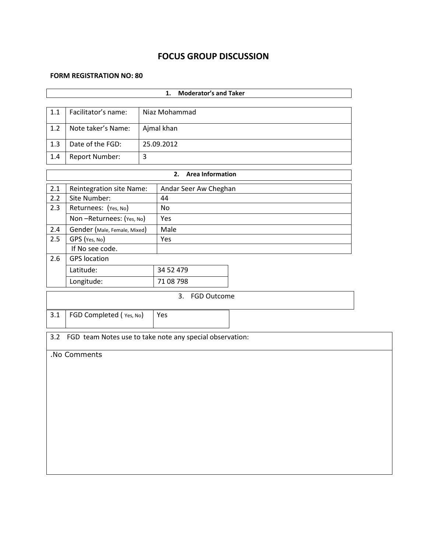# **FOCUS GROUP DISCUSSION**

#### **FORM REGISTRATION NO: 80**

ń

|         |                                      |   | <b>Moderator's and Taker</b><br>1.                       |  |  |  |  |  |
|---------|--------------------------------------|---|----------------------------------------------------------|--|--|--|--|--|
|         |                                      |   |                                                          |  |  |  |  |  |
| $1.1\,$ | Facilitator's name:<br>Niaz Mohammad |   |                                                          |  |  |  |  |  |
| 1.2     | Ajmal khan<br>Note taker's Name:     |   |                                                          |  |  |  |  |  |
| 1.3     | Date of the FGD:                     |   | 25.09.2012                                               |  |  |  |  |  |
| 1.4     | Report Number:                       | 3 |                                                          |  |  |  |  |  |
|         |                                      |   | <b>Area Information</b><br>2.                            |  |  |  |  |  |
| 2.1     | Reintegration site Name:             |   | Andar Seer Aw Cheghan                                    |  |  |  |  |  |
| 2.2     | Site Number:                         |   | 44                                                       |  |  |  |  |  |
| 2.3     | Returnees: (Yes, No)                 |   | No                                                       |  |  |  |  |  |
|         | Non-Returnees: (Yes, No)             |   | Yes                                                      |  |  |  |  |  |
| 2.4     | Gender (Male, Female, Mixed)         |   | Male                                                     |  |  |  |  |  |
| 2.5     | GPS (Yes, No)                        |   | Yes                                                      |  |  |  |  |  |
|         | If No see code.                      |   |                                                          |  |  |  |  |  |
| 2.6     | <b>GPS</b> location                  |   |                                                          |  |  |  |  |  |
|         | Latitude:                            |   | 34 52 479                                                |  |  |  |  |  |
|         | Longitude:                           |   | 71 08 798                                                |  |  |  |  |  |
|         |                                      |   | 3. FGD Outcome                                           |  |  |  |  |  |
| 3.1     | FGD Completed (Yes, No)              |   | Yes                                                      |  |  |  |  |  |
|         |                                      |   |                                                          |  |  |  |  |  |
| 3.2     |                                      |   | FGD team Notes use to take note any special observation: |  |  |  |  |  |
|         | .No Comments                         |   |                                                          |  |  |  |  |  |
|         |                                      |   |                                                          |  |  |  |  |  |
|         |                                      |   |                                                          |  |  |  |  |  |
|         |                                      |   |                                                          |  |  |  |  |  |
|         |                                      |   |                                                          |  |  |  |  |  |
|         |                                      |   |                                                          |  |  |  |  |  |
|         |                                      |   |                                                          |  |  |  |  |  |
|         |                                      |   |                                                          |  |  |  |  |  |
|         |                                      |   |                                                          |  |  |  |  |  |
|         |                                      |   |                                                          |  |  |  |  |  |
|         |                                      |   |                                                          |  |  |  |  |  |
|         |                                      |   |                                                          |  |  |  |  |  |
|         |                                      |   |                                                          |  |  |  |  |  |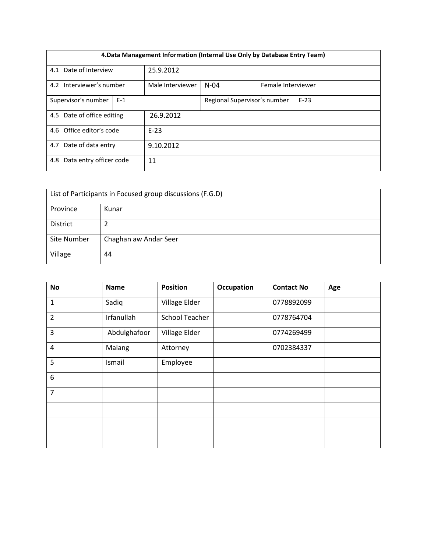| 4. Data Management Information (Internal Use Only by Database Entry Team) |       |                  |                              |                    |        |  |  |  |
|---------------------------------------------------------------------------|-------|------------------|------------------------------|--------------------|--------|--|--|--|
| 4.1 Date of Interview                                                     |       | 25.9.2012        |                              |                    |        |  |  |  |
| 4.2 Interviewer's number                                                  |       | Male Interviewer | $N-04$                       | Female Interviewer |        |  |  |  |
| Supervisor's number                                                       | $E-1$ |                  | Regional Supervisor's number |                    | $E-23$ |  |  |  |
| 4.5 Date of office editing                                                |       | 26.9.2012        |                              |                    |        |  |  |  |
| 4.6 Office editor's code<br>$E-23$                                        |       |                  |                              |                    |        |  |  |  |
| 4.7 Date of data entry<br>9.10.2012                                       |       |                  |                              |                    |        |  |  |  |
| Data entry officer code<br>11<br>4.8                                      |       |                  |                              |                    |        |  |  |  |

| List of Participants in Focused group discussions (F.G.D) |                       |  |  |  |  |
|-----------------------------------------------------------|-----------------------|--|--|--|--|
| Province                                                  | Kunar                 |  |  |  |  |
| District                                                  |                       |  |  |  |  |
| Site Number                                               | Chaghan aw Andar Seer |  |  |  |  |
| Village                                                   | 44                    |  |  |  |  |

| <b>No</b>        | <b>Name</b>  | <b>Position</b>       | Occupation | <b>Contact No</b> | Age |
|------------------|--------------|-----------------------|------------|-------------------|-----|
| 1                | Sadiq        | Village Elder         |            | 0778892099        |     |
| $\overline{2}$   | Irfanullah   | <b>School Teacher</b> |            | 0778764704        |     |
| 3                | Abdulghafoor | Village Elder         |            | 0774269499        |     |
| $\overline{4}$   | Malang       | Attorney              |            | 0702384337        |     |
| 5                | Ismail       | Employee              |            |                   |     |
| $\boldsymbol{6}$ |              |                       |            |                   |     |
| $\overline{7}$   |              |                       |            |                   |     |
|                  |              |                       |            |                   |     |
|                  |              |                       |            |                   |     |
|                  |              |                       |            |                   |     |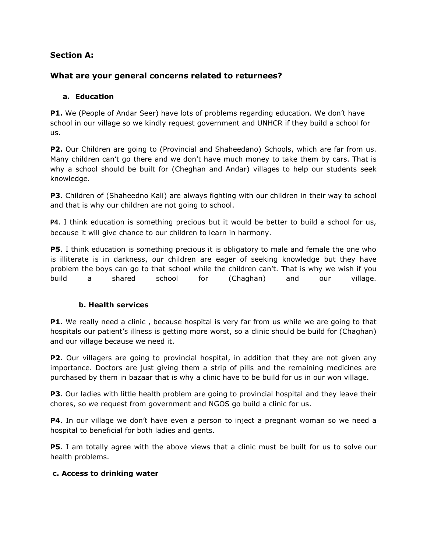# **Section A:**

# **What are your general concerns related to returnees?**

#### **a. Education**

**P1.** We (People of Andar Seer) have lots of problems regarding education. We don't have school in our village so we kindly request government and UNHCR if they build a school for us.

**P2.** Our Children are going to (Provincial and Shaheedano) Schools, which are far from us. Many children can't go there and we don't have much money to take them by cars. That is why a school should be built for (Cheghan and Andar) villages to help our students seek knowledge.

**P3**. Children of (Shaheedno Kali) are always fighting with our children in their way to school and that is why our children are not going to school.

**P4**. I think education is something precious but it would be better to build a school for us, because it will give chance to our children to learn in harmony.

**P5**. I think education is something precious it is obligatory to male and female the one who is illiterate is in darkness, our children are eager of seeking knowledge but they have problem the boys can go to that school while the children can't. That is why we wish if you build a shared school for (Chaghan) and our village.

# **b. Health services**

**P1**. We really need a clinic, because hospital is very far from us while we are going to that hospitals our patient's illness is getting more worst, so a clinic should be build for (Chaghan) and our village because we need it.

**P2.** Our villagers are going to provincial hospital, in addition that they are not given any importance. Doctors are just giving them a strip of pills and the remaining medicines are purchased by them in bazaar that is why a clinic have to be build for us in our won village.

**P3**. Our ladies with little health problem are going to provincial hospital and they leave their chores, so we request from government and NGOS go build a clinic for us.

**P4**. In our village we don't have even a person to inject a pregnant woman so we need a hospital to beneficial for both ladies and gents.

**P5**. I am totally agree with the above views that a clinic must be built for us to solve our health problems.

#### **c. Access to drinking water**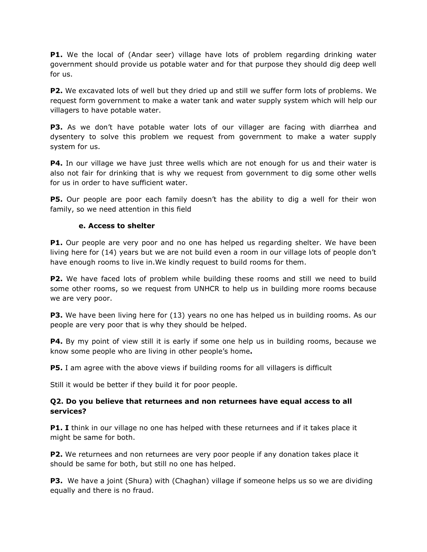**P1.** We the local of (Andar seer) village have lots of problem regarding drinking water government should provide us potable water and for that purpose they should dig deep well for us.

**P2.** We excavated lots of well but they dried up and still we suffer form lots of problems. We request form government to make a water tank and water supply system which will help our villagers to have potable water.

**P3.** As we don't have potable water lots of our villager are facing with diarrhea and dysentery to solve this problem we request from government to make a water supply system for us.

**P4.** In our village we have just three wells which are not enough for us and their water is also not fair for drinking that is why we request from government to dig some other wells for us in order to have sufficient water.

**P5.** Our people are poor each family doesn't has the ability to dig a well for their won family, so we need attention in this field

# **e. Access to shelter**

**P1.** Our people are very poor and no one has helped us regarding shelter. We have been living here for (14) years but we are not build even a room in our village lots of people don't have enough rooms to live in.We kindly request to build rooms for them.

**P2.** We have faced lots of problem while building these rooms and still we need to build some other rooms, so we request from UNHCR to help us in building more rooms because we are very poor.

**P3.** We have been living here for (13) years no one has helped us in building rooms. As our people are very poor that is why they should be helped.

**P4.** By my point of view still it is early if some one help us in building rooms, because we know some people who are living in other people's home**.**

**P5.** I am agree with the above views if building rooms for all villagers is difficult

Still it would be better if they build it for poor people.

#### **Q2. Do you believe that returnees and non returnees have equal access to all services?**

**P1. I** think in our village no one has helped with these returnees and if it takes place it might be same for both.

**P2.** We returnees and non returnees are very poor people if any donation takes place it should be same for both, but still no one has helped.

**P3.** We have a joint (Shura) with (Chaghan) village if someone helps us so we are dividing equally and there is no fraud.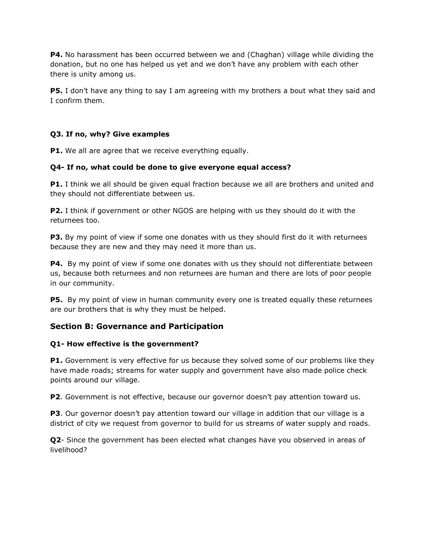**P4.** No harassment has been occurred between we and (Chaghan) village while dividing the donation, but no one has helped us yet and we don't have any problem with each other there is unity among us.

**P5.** I don't have any thing to say I am agreeing with my brothers a bout what they said and I confirm them.

# **Q3. If no, why? Give examples**

**P1.** We all are agree that we receive everything equally.

# **Q4- If no, what could be done to give everyone equal access?**

**P1.** I think we all should be given equal fraction because we all are brothers and united and they should not differentiate between us.

**P2.** I think if government or other NGOS are helping with us they should do it with the returnees too.

**P3.** By my point of view if some one donates with us they should first do it with returnees because they are new and they may need it more than us.

**P4.** By my point of view if some one donates with us they should not differentiate between us, because both returnees and non returnees are human and there are lots of poor people in our community.

**P5.** By my point of view in human community every one is treated equally these returnees are our brothers that is why they must be helped.

# **Section B: Governance and Participation**

# **Q1- How effective is the government?**

**P1.** Government is very effective for us because they solved some of our problems like they have made roads; streams for water supply and government have also made police check points around our village.

**P2.** Government is not effective, because our governor doesn't pay attention toward us.

**P3**. Our governor doesn't pay attention toward our village in addition that our village is a district of city we request from governor to build for us streams of water supply and roads.

**Q2**- Since the government has been elected what changes have you observed in areas of livelihood?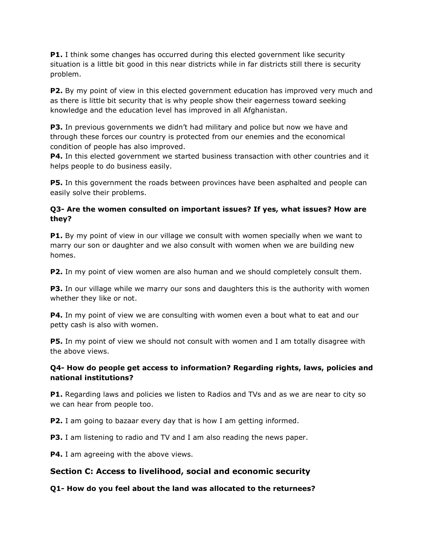**P1.** I think some changes has occurred during this elected government like security situation is a little bit good in this near districts while in far districts still there is security problem.

**P2.** By my point of view in this elected government education has improved very much and as there is little bit security that is why people show their eagerness toward seeking knowledge and the education level has improved in all Afghanistan.

**P3.** In previous governments we didn't had military and police but now we have and through these forces our country is protected from our enemies and the economical condition of people has also improved.

**P4.** In this elected government we started business transaction with other countries and it helps people to do business easily.

**P5.** In this government the roads between provinces have been asphalted and people can easily solve their problems.

# **Q3- Are the women consulted on important issues? If yes, what issues? How are they?**

**P1.** By my point of view in our village we consult with women specially when we want to marry our son or daughter and we also consult with women when we are building new homes.

**P2.** In my point of view women are also human and we should completely consult them.

**P3.** In our village while we marry our sons and daughters this is the authority with women whether they like or not.

**P4.** In my point of view we are consulting with women even a bout what to eat and our petty cash is also with women.

**P5.** In my point of view we should not consult with women and I am totally disagree with the above views.

# **Q4- How do people get access to information? Regarding rights, laws, policies and national institutions?**

**P1.** Regarding laws and policies we listen to Radios and TVs and as we are near to city so we can hear from people too.

**P2.** I am going to bazaar every day that is how I am getting informed.

**P3.** I am listening to radio and TV and I am also reading the news paper.

**P4.** I am agreeing with the above views.

# **Section C: Access to livelihood, social and economic security**

# **Q1- How do you feel about the land was allocated to the returnees?**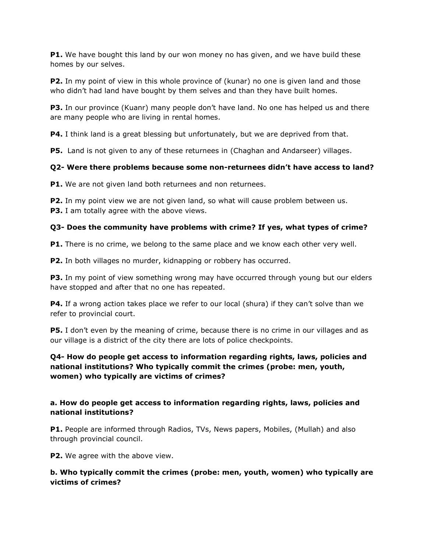**P1.** We have bought this land by our won money no has given, and we have build these homes by our selves.

**P2.** In my point of view in this whole province of (kunar) no one is given land and those who didn't had land have bought by them selves and than they have built homes.

**P3.** In our province (Kuanr) many people don't have land. No one has helped us and there are many people who are living in rental homes.

**P4.** I think land is a great blessing but unfortunately, but we are deprived from that.

**P5.** Land is not given to any of these returnees in (Chaghan and Andarseer) villages.

# **Q2- Were there problems because some non-returnees didn't have access to land?**

**P1.** We are not given land both returnees and non returnees.

**P2.** In my point view we are not given land, so what will cause problem between us. **P3.** I am totally agree with the above views.

# **Q3- Does the community have problems with crime? If yes, what types of crime?**

**P1.** There is no crime, we belong to the same place and we know each other very well.

**P2.** In both villages no murder, kidnapping or robbery has occurred.

**P3.** In my point of view something wrong may have occurred through young but our elders have stopped and after that no one has repeated.

**P4.** If a wrong action takes place we refer to our local (shura) if they can't solve than we refer to provincial court.

**P5.** I don't even by the meaning of crime, because there is no crime in our villages and as our village is a district of the city there are lots of police checkpoints.

# **Q4- How do people get access to information regarding rights, laws, policies and national institutions? Who typically commit the crimes (probe: men, youth, women) who typically are victims of crimes?**

# **a. How do people get access to information regarding rights, laws, policies and national institutions?**

**P1.** People are informed through Radios, TVs, News papers, Mobiles, (Mullah) and also through provincial council.

**P2.** We agree with the above view.

# **b. Who typically commit the crimes (probe: men, youth, women) who typically are victims of crimes?**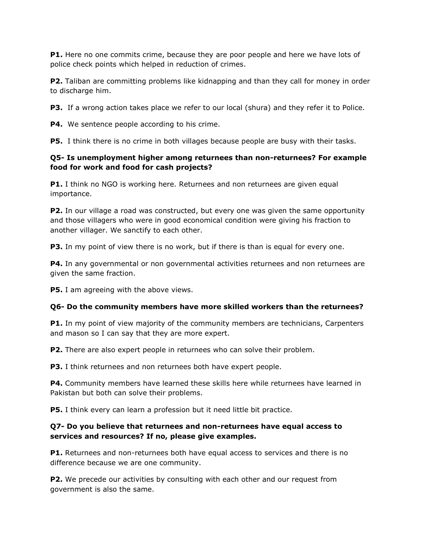**P1.** Here no one commits crime, because they are poor people and here we have lots of police check points which helped in reduction of crimes.

**P2.** Taliban are committing problems like kidnapping and than they call for money in order to discharge him.

**P3.** If a wrong action takes place we refer to our local (shura) and they refer it to Police.

**P4.** We sentence people according to his crime.

**P5.** I think there is no crime in both villages because people are busy with their tasks.

# **Q5- Is unemployment higher among returnees than non-returnees? For example food for work and food for cash projects?**

**P1.** I think no NGO is working here. Returnees and non returnees are given equal importance.

**P2.** In our village a road was constructed, but every one was given the same opportunity and those villagers who were in good economical condition were giving his fraction to another villager. We sanctify to each other.

**P3.** In my point of view there is no work, but if there is than is equal for every one.

**P4.** In any governmental or non governmental activities returnees and non returnees are given the same fraction.

**P5.** I am agreeing with the above views.

# **Q6- Do the community members have more skilled workers than the returnees?**

**P1.** In my point of view majority of the community members are technicians, Carpenters and mason so I can say that they are more expert.

**P2.** There are also expert people in returnees who can solve their problem.

**P3.** I think returnees and non returnees both have expert people.

**P4.** Community members have learned these skills here while returnees have learned in Pakistan but both can solve their problems.

**P5.** I think every can learn a profession but it need little bit practice.

# **Q7- Do you believe that returnees and non-returnees have equal access to services and resources? If no, please give examples.**

**P1.** Returnees and non-returnees both have equal access to services and there is no difference because we are one community.

**P2.** We precede our activities by consulting with each other and our request from government is also the same.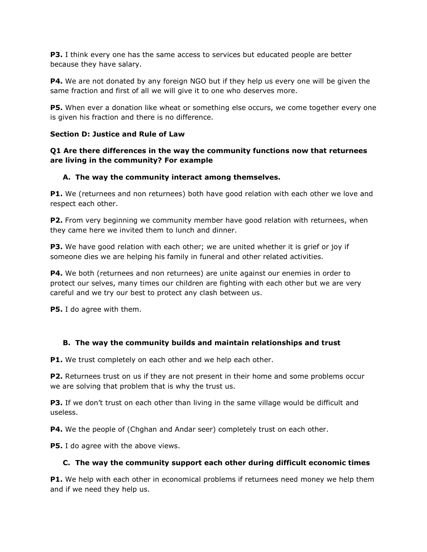**P3.** I think every one has the same access to services but educated people are better because they have salary.

**P4.** We are not donated by any foreign NGO but if they help us every one will be given the same fraction and first of all we will give it to one who deserves more.

**P5.** When ever a donation like wheat or something else occurs, we come together every one is given his fraction and there is no difference.

# **Section D: Justice and Rule of Law**

# **Q1 Are there differences in the way the community functions now that returnees are living in the community? For example**

# **A. The way the community interact among themselves.**

**P1.** We (returnees and non returnees) both have good relation with each other we love and respect each other.

**P2.** From very beginning we community member have good relation with returnees, when they came here we invited them to lunch and dinner.

**P3.** We have good relation with each other; we are united whether it is grief or joy if someone dies we are helping his family in funeral and other related activities.

**P4.** We both (returnees and non returnees) are unite against our enemies in order to protect our selves, many times our children are fighting with each other but we are very careful and we try our best to protect any clash between us.

**P5.** I do agree with them.

# **B. The way the community builds and maintain relationships and trust**

**P1.** We trust completely on each other and we help each other.

**P2.** Returnees trust on us if they are not present in their home and some problems occur we are solving that problem that is why the trust us.

**P3.** If we don't trust on each other than living in the same village would be difficult and useless.

**P4.** We the people of (Chghan and Andar seer) completely trust on each other.

**P5.** I do agree with the above views.

# **C. The way the community support each other during difficult economic times**

**P1.** We help with each other in economical problems if returnees need money we help them and if we need they help us.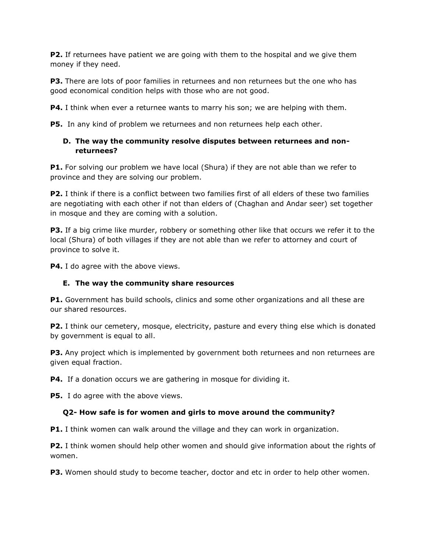**P2.** If returnees have patient we are going with them to the hospital and we give them money if they need.

**P3.** There are lots of poor families in returnees and non returnees but the one who has good economical condition helps with those who are not good.

**P4.** I think when ever a returnee wants to marry his son; we are helping with them.

**P5.** In any kind of problem we returnees and non returnees help each other.

# **D. The way the community resolve disputes between returnees and nonreturnees?**

**P1.** For solving our problem we have local (Shura) if they are not able than we refer to province and they are solving our problem.

**P2.** I think if there is a conflict between two families first of all elders of these two families are negotiating with each other if not than elders of (Chaghan and Andar seer) set together in mosque and they are coming with a solution.

**P3.** If a big crime like murder, robbery or something other like that occurs we refer it to the local (Shura) of both villages if they are not able than we refer to attorney and court of province to solve it.

**P4.** I do agree with the above views.

# **E. The way the community share resources**

**P1.** Government has build schools, clinics and some other organizations and all these are our shared resources.

**P2.** I think our cemetery, mosque, electricity, pasture and every thing else which is donated by government is equal to all.

**P3.** Any project which is implemented by government both returnees and non returnees are given equal fraction.

**P4.** If a donation occurs we are gathering in mosque for dividing it.

**P5.** I do agree with the above views.

# **Q2- How safe is for women and girls to move around the community?**

**P1.** I think women can walk around the village and they can work in organization.

**P2.** I think women should help other women and should give information about the rights of women.

**P3.** Women should study to become teacher, doctor and etc in order to help other women.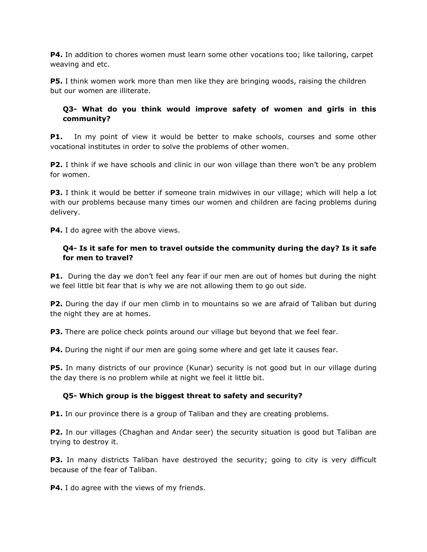**P4.** In addition to chores women must learn some other vocations too; like tailoring, carpet weaving and etc.

**P5.** I think women work more than men like they are bringing woods, raising the children but our women are illiterate.

# **Q3- What do you think would improve safety of women and girls in this community?**

**P1.** In my point of view it would be better to make schools, courses and some other vocational institutes in order to solve the problems of other women.

**P2.** I think if we have schools and clinic in our won village than there won't be any problem for women.

**P3.** I think it would be better if someone train midwives in our village; which will help a lot with our problems because many times our women and children are facing problems during delivery.

**P4.** I do agree with the above views.

# **Q4- Is it safe for men to travel outside the community during the day? Is it safe for men to travel?**

**P1.** During the day we don't feel any fear if our men are out of homes but during the night we feel little bit fear that is why we are not allowing them to go out side.

**P2.** During the day if our men climb in to mountains so we are afraid of Taliban but during the night they are at homes.

**P3.** There are police check points around our village but beyond that we feel fear.

**P4.** During the night if our men are going some where and get late it causes fear.

**P5.** In many districts of our province (Kunar) security is not good but in our village during the day there is no problem while at night we feel it little bit.

# **Q5- Which group is the biggest threat to safety and security?**

**P1.** In our province there is a group of Taliban and they are creating problems.

**P2.** In our villages (Chaghan and Andar seer) the security situation is good but Taliban are trying to destroy it.

**P3.** In many districts Taliban have destroyed the security; going to city is very difficult because of the fear of Taliban.

**P4.** I do agree with the views of my friends.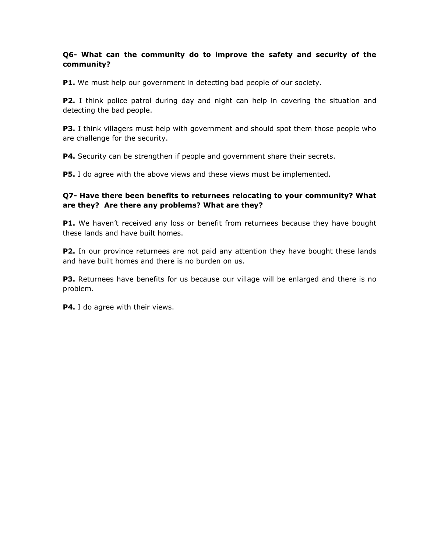# **Q6- What can the community do to improve the safety and security of the community?**

**P1.** We must help our government in detecting bad people of our society.

**P2.** I think police patrol during day and night can help in covering the situation and detecting the bad people.

**P3.** I think villagers must help with government and should spot them those people who are challenge for the security.

**P4.** Security can be strengthen if people and government share their secrets.

**P5.** I do agree with the above views and these views must be implemented.

# **Q7- Have there been benefits to returnees relocating to your community? What are they? Are there any problems? What are they?**

**P1.** We haven't received any loss or benefit from returnees because they have bought these lands and have built homes.

**P2.** In our province returnees are not paid any attention they have bought these lands and have built homes and there is no burden on us.

**P3.** Returnees have benefits for us because our village will be enlarged and there is no problem.

**P4.** I do agree with their views.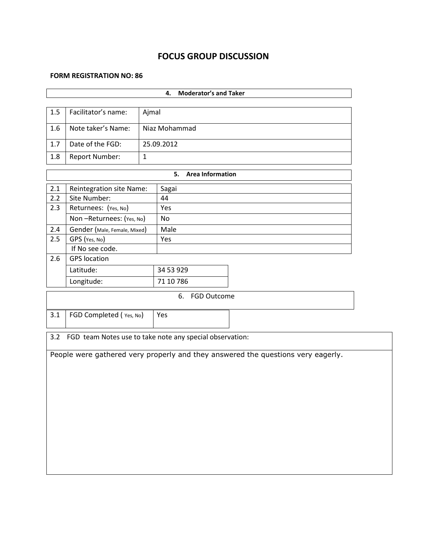# **FOCUS GROUP DISCUSSION**

#### **FORM REGISTRATION NO: 86**

| <b>Moderator's and Taker</b><br>4.  |                                                          |              |                               |                                                                                  |  |  |  |  |  |
|-------------------------------------|----------------------------------------------------------|--------------|-------------------------------|----------------------------------------------------------------------------------|--|--|--|--|--|
| Facilitator's name:<br>1.5<br>Ajmal |                                                          |              |                               |                                                                                  |  |  |  |  |  |
|                                     |                                                          |              |                               |                                                                                  |  |  |  |  |  |
| 1.6                                 | Note taker's Name:                                       |              | Niaz Mohammad                 |                                                                                  |  |  |  |  |  |
| 1.7                                 | Date of the FGD:                                         |              | 25.09.2012                    |                                                                                  |  |  |  |  |  |
| 1.8                                 | <b>Report Number:</b>                                    | $\mathbf{1}$ |                               |                                                                                  |  |  |  |  |  |
|                                     |                                                          |              | 5.<br><b>Area Information</b> |                                                                                  |  |  |  |  |  |
| 2.1                                 | Reintegration site Name:                                 |              | Sagai                         |                                                                                  |  |  |  |  |  |
| 2.2                                 | Site Number:                                             |              | 44                            |                                                                                  |  |  |  |  |  |
| 2.3                                 | Returnees: (Yes, No)                                     |              | Yes                           |                                                                                  |  |  |  |  |  |
|                                     | Non-Returnees: (Yes, No)                                 |              | No                            |                                                                                  |  |  |  |  |  |
| 2.4                                 | Gender (Male, Female, Mixed)                             |              | Male                          |                                                                                  |  |  |  |  |  |
| 2.5                                 | GPS (Yes, No)                                            |              | Yes                           |                                                                                  |  |  |  |  |  |
|                                     | If No see code.                                          |              |                               |                                                                                  |  |  |  |  |  |
| 2.6                                 | <b>GPS</b> location                                      |              |                               |                                                                                  |  |  |  |  |  |
|                                     | Latitude:                                                |              | 34 53 929                     |                                                                                  |  |  |  |  |  |
|                                     | Longitude:                                               |              | 71 10 786                     |                                                                                  |  |  |  |  |  |
|                                     |                                                          |              | 6. FGD Outcome                |                                                                                  |  |  |  |  |  |
| 3.1                                 | FGD Completed (Yes, No)                                  |              | Yes                           |                                                                                  |  |  |  |  |  |
| 3.2                                 | FGD team Notes use to take note any special observation: |              |                               |                                                                                  |  |  |  |  |  |
|                                     |                                                          |              |                               | People were gathered very properly and they answered the questions very eagerly. |  |  |  |  |  |
|                                     |                                                          |              |                               |                                                                                  |  |  |  |  |  |
|                                     |                                                          |              |                               |                                                                                  |  |  |  |  |  |
|                                     |                                                          |              |                               |                                                                                  |  |  |  |  |  |
|                                     |                                                          |              |                               |                                                                                  |  |  |  |  |  |
|                                     |                                                          |              |                               |                                                                                  |  |  |  |  |  |
|                                     |                                                          |              |                               |                                                                                  |  |  |  |  |  |
|                                     |                                                          |              |                               |                                                                                  |  |  |  |  |  |
|                                     |                                                          |              |                               |                                                                                  |  |  |  |  |  |
|                                     |                                                          |              |                               |                                                                                  |  |  |  |  |  |
|                                     |                                                          |              |                               |                                                                                  |  |  |  |  |  |
|                                     |                                                          |              |                               |                                                                                  |  |  |  |  |  |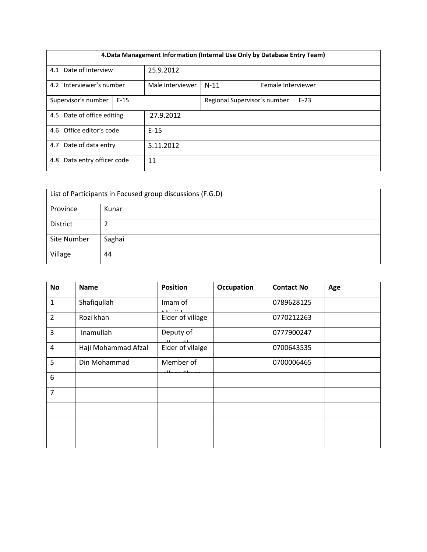| 4. Data Management Information (Internal Use Only by Database Entry Team) |        |                  |                              |                    |        |  |  |  |
|---------------------------------------------------------------------------|--------|------------------|------------------------------|--------------------|--------|--|--|--|
| 4.1 Date of Interview                                                     |        | 25.9.2012        |                              |                    |        |  |  |  |
| 4.2 Interviewer's number                                                  |        | Male Interviewer | $N-11$                       | Female Interviewer |        |  |  |  |
| Supervisor's number                                                       | $E-15$ |                  | Regional Supervisor's number |                    | $E-23$ |  |  |  |
| 4.5 Date of office editing                                                |        | 27.9.2012        |                              |                    |        |  |  |  |
| 4.6 Office editor's code<br>$E-15$                                        |        |                  |                              |                    |        |  |  |  |
| 4.7 Date of data entry<br>5.11.2012                                       |        |                  |                              |                    |        |  |  |  |
| Data entry officer code<br>4.8                                            | 11     |                  |                              |                    |        |  |  |  |

| List of Participants in Focused group discussions (F.G.D) |        |  |  |  |  |
|-----------------------------------------------------------|--------|--|--|--|--|
| Province                                                  | Kunar  |  |  |  |  |
| District                                                  |        |  |  |  |  |
| Site Number                                               | Saghai |  |  |  |  |
| Village                                                   | 44     |  |  |  |  |

| <b>No</b>      | <b>Name</b>         | <b>Position</b>                  | <b>Occupation</b> | <b>Contact No</b> | Age |
|----------------|---------------------|----------------------------------|-------------------|-------------------|-----|
| $\mathbf{1}$   | Shafiqullah         | Imam of<br>منتممه                |                   | 0789628125        |     |
| $\overline{2}$ | Rozi khan           | Elder of village                 |                   | 0770212263        |     |
| 3              | Inamullah           | Deputy of<br>$11 - 20$           |                   | 0777900247        |     |
| $\overline{4}$ | Haji Mohammad Afzal | Elder of vilalge                 |                   | 0700643535        |     |
| 5              | Din Mohammad        | Member of<br>$\cdot$ m<br>$\sim$ |                   | 0700006465        |     |
| 6              |                     |                                  |                   |                   |     |
| $\overline{7}$ |                     |                                  |                   |                   |     |
|                |                     |                                  |                   |                   |     |
|                |                     |                                  |                   |                   |     |
|                |                     |                                  |                   |                   |     |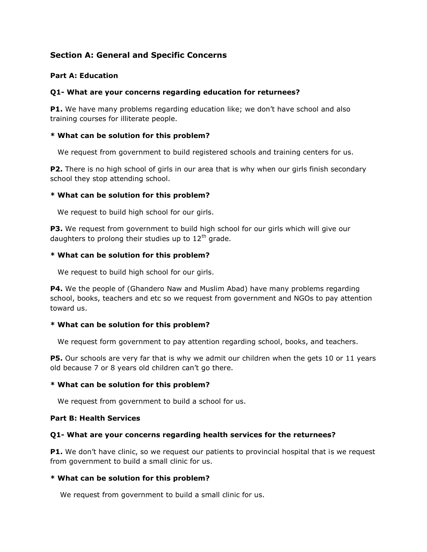# **Section A: General and Specific Concerns**

# **Part A: Education**

#### **Q1- What are your concerns regarding education for returnees?**

**P1.** We have many problems regarding education like; we don't have school and also training courses for illiterate people.

#### **\* What can be solution for this problem?**

We request from government to build registered schools and training centers for us.

**P2.** There is no high school of girls in our area that is why when our girls finish secondary school they stop attending school.

#### **\* What can be solution for this problem?**

We request to build high school for our girls.

**P3.** We request from government to build high school for our girls which will give our daughters to prolong their studies up to  $12<sup>th</sup>$  grade.

#### **\* What can be solution for this problem?**

We request to build high school for our girls.

**P4.** We the people of (Ghandero Naw and Muslim Abad) have many problems regarding school, books, teachers and etc so we request from government and NGOs to pay attention toward us.

#### **\* What can be solution for this problem?**

We request form government to pay attention regarding school, books, and teachers.

**P5.** Our schools are very far that is why we admit our children when the gets 10 or 11 years old because 7 or 8 years old children can't go there.

#### **\* What can be solution for this problem?**

We request from government to build a school for us.

#### **Part B: Health Services**

#### **Q1- What are your concerns regarding health services for the returnees?**

P1. We don't have clinic, so we request our patients to provincial hospital that is we request from government to build a small clinic for us.

#### **\* What can be solution for this problem?**

We request from government to build a small clinic for us.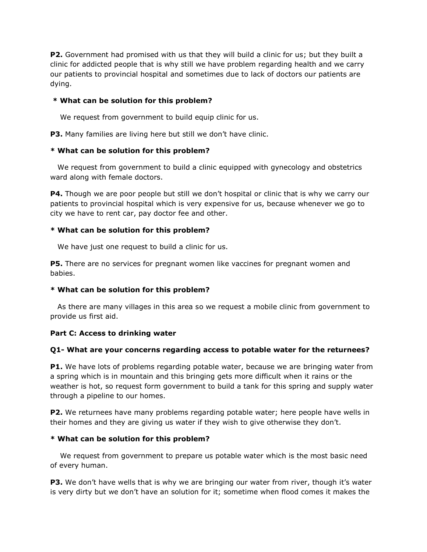**P2.** Government had promised with us that they will build a clinic for us; but they built a clinic for addicted people that is why still we have problem regarding health and we carry our patients to provincial hospital and sometimes due to lack of doctors our patients are dying.

#### **\* What can be solution for this problem?**

We request from government to build equip clinic for us.

**P3.** Many families are living here but still we don't have clinic.

#### **\* What can be solution for this problem?**

 We request from government to build a clinic equipped with gynecology and obstetrics ward along with female doctors.

**P4.** Though we are poor people but still we don't hospital or clinic that is why we carry our patients to provincial hospital which is very expensive for us, because whenever we go to city we have to rent car, pay doctor fee and other.

#### **\* What can be solution for this problem?**

We have just one request to build a clinic for us.

**P5.** There are no services for pregnant women like vaccines for pregnant women and babies.

#### **\* What can be solution for this problem?**

 As there are many villages in this area so we request a mobile clinic from government to provide us first aid.

# **Part C: Access to drinking water**

# **Q1- What are your concerns regarding access to potable water for the returnees?**

**P1.** We have lots of problems regarding potable water, because we are bringing water from a spring which is in mountain and this bringing gets more difficult when it rains or the weather is hot, so request form government to build a tank for this spring and supply water through a pipeline to our homes.

**P2.** We returnees have many problems regarding potable water; here people have wells in their homes and they are giving us water if they wish to give otherwise they don't.

# **\* What can be solution for this problem?**

 We request from government to prepare us potable water which is the most basic need of every human.

**P3.** We don't have wells that is why we are bringing our water from river, though it's water is very dirty but we don't have an solution for it; sometime when flood comes it makes the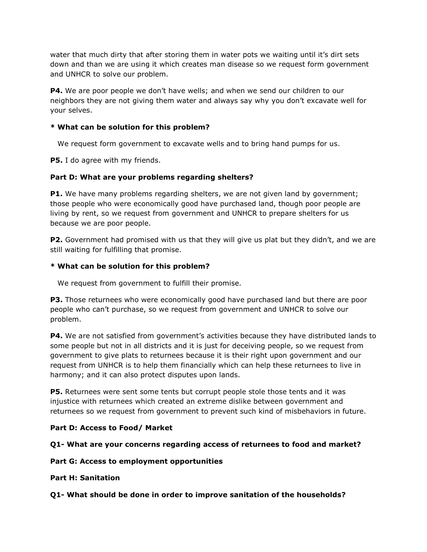water that much dirty that after storing them in water pots we waiting until it's dirt sets down and than we are using it which creates man disease so we request form government and UNHCR to solve our problem.

**P4.** We are poor people we don't have wells; and when we send our children to our neighbors they are not giving them water and always say why you don't excavate well for your selves.

# **\* What can be solution for this problem?**

We request form government to excavate wells and to bring hand pumps for us.

**P5.** I do agree with my friends.

# **Part D: What are your problems regarding shelters?**

**P1.** We have many problems regarding shelters, we are not given land by government; those people who were economically good have purchased land, though poor people are living by rent, so we request from government and UNHCR to prepare shelters for us because we are poor people.

**P2.** Government had promised with us that they will give us plat but they didn't, and we are still waiting for fulfilling that promise.

# **\* What can be solution for this problem?**

We request from government to fulfill their promise.

**P3.** Those returnees who were economically good have purchased land but there are poor people who can't purchase, so we request from government and UNHCR to solve our problem.

**P4.** We are not satisfied from government's activities because they have distributed lands to some people but not in all districts and it is just for deceiving people, so we request from government to give plats to returnees because it is their right upon government and our request from UNHCR is to help them financially which can help these returnees to live in harmony; and it can also protect disputes upon lands.

**P5.** Returnees were sent some tents but corrupt people stole those tents and it was injustice with returnees which created an extreme dislike between government and returnees so we request from government to prevent such kind of misbehaviors in future.

# **Part D: Access to Food/ Market**

# **Q1- What are your concerns regarding access of returnees to food and market?**

# **Part G: Access to employment opportunities**

# **Part H: Sanitation**

# **Q1- What should be done in order to improve sanitation of the households?**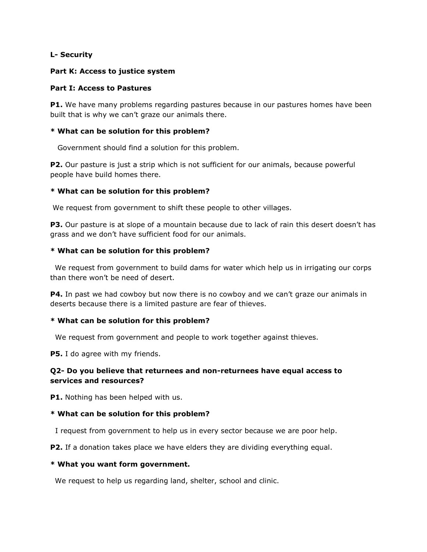#### **L- Security**

#### **Part K: Access to justice system**

#### **Part I: Access to Pastures**

**P1.** We have many problems regarding pastures because in our pastures homes have been built that is why we can't graze our animals there.

#### **\* What can be solution for this problem?**

Government should find a solution for this problem.

**P2.** Our pasture is just a strip which is not sufficient for our animals, because powerful people have build homes there.

#### **\* What can be solution for this problem?**

We request from government to shift these people to other villages.

**P3.** Our pasture is at slope of a mountain because due to lack of rain this desert doesn't has grass and we don't have sufficient food for our animals.

#### **\* What can be solution for this problem?**

We request from government to build dams for water which help us in irrigating our corps than there won't be need of desert.

**P4.** In past we had cowboy but now there is no cowboy and we can't graze our animals in deserts because there is a limited pasture are fear of thieves.

#### **\* What can be solution for this problem?**

We request from government and people to work together against thieves.

**P5.** I do agree with my friends.

# **Q2- Do you believe that returnees and non-returnees have equal access to services and resources?**

**P1.** Nothing has been helped with us.

# **\* What can be solution for this problem?**

I request from government to help us in every sector because we are poor help.

**P2.** If a donation takes place we have elders they are dividing everything equal.

#### **\* What you want form government.**

We request to help us regarding land, shelter, school and clinic.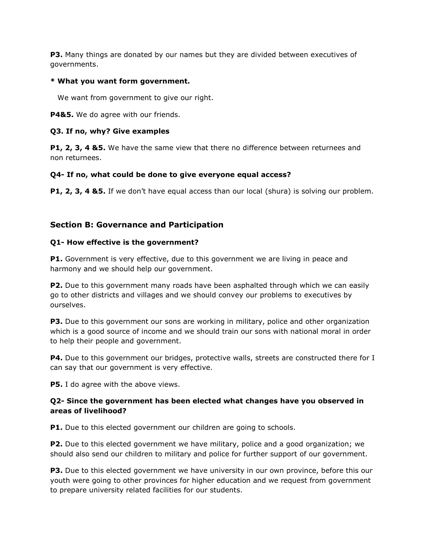**P3.** Many things are donated by our names but they are divided between executives of governments.

## **\* What you want form government.**

We want from government to give our right.

P4&5. We do agree with our friends.

## **Q3. If no, why? Give examples**

**P1, 2, 3, 4 &5.** We have the same view that there no difference between returnees and non returnees.

# **Q4- If no, what could be done to give everyone equal access?**

**P1, 2, 3, 4 &5.** If we don't have equal access than our local (shura) is solving our problem.

# **Section B: Governance and Participation**

#### **Q1- How effective is the government?**

**P1.** Government is very effective, due to this government we are living in peace and harmony and we should help our government.

**P2.** Due to this government many roads have been asphalted through which we can easily go to other districts and villages and we should convey our problems to executives by ourselves.

**P3.** Due to this government our sons are working in military, police and other organization which is a good source of income and we should train our sons with national moral in order to help their people and government.

**P4.** Due to this government our bridges, protective walls, streets are constructed there for I can say that our government is very effective.

**P5.** I do agree with the above views.

# **Q2- Since the government has been elected what changes have you observed in areas of livelihood?**

**P1.** Due to this elected government our children are going to schools.

**P2.** Due to this elected government we have military, police and a good organization; we should also send our children to military and police for further support of our government.

**P3.** Due to this elected government we have university in our own province, before this our youth were going to other provinces for higher education and we request from government to prepare university related facilities for our students.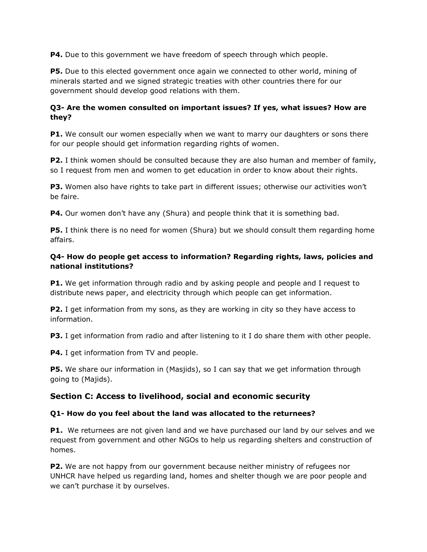**P4.** Due to this government we have freedom of speech through which people.

**P5.** Due to this elected government once again we connected to other world, mining of minerals started and we signed strategic treaties with other countries there for our government should develop good relations with them.

# **Q3- Are the women consulted on important issues? If yes, what issues? How are they?**

**P1.** We consult our women especially when we want to marry our daughters or sons there for our people should get information regarding rights of women.

**P2.** I think women should be consulted because they are also human and member of family, so I request from men and women to get education in order to know about their rights.

**P3.** Women also have rights to take part in different issues; otherwise our activities won't be faire.

**P4.** Our women don't have any (Shura) and people think that it is something bad.

**P5.** I think there is no need for women (Shura) but we should consult them regarding home affairs.

# **Q4- How do people get access to information? Regarding rights, laws, policies and national institutions?**

**P1.** We get information through radio and by asking people and people and I request to distribute news paper, and electricity through which people can get information.

**P2.** I get information from my sons, as they are working in city so they have access to information.

**P3.** I get information from radio and after listening to it I do share them with other people.

**P4.** I get information from TV and people.

**P5.** We share our information in (Masjids), so I can say that we get information through going to (Majids).

# **Section C: Access to livelihood, social and economic security**

# **Q1- How do you feel about the land was allocated to the returnees?**

**P1.** We returnees are not given land and we have purchased our land by our selves and we request from government and other NGOs to help us regarding shelters and construction of homes.

**P2.** We are not happy from our government because neither ministry of refugees nor UNHCR have helped us regarding land, homes and shelter though we are poor people and we can't purchase it by ourselves.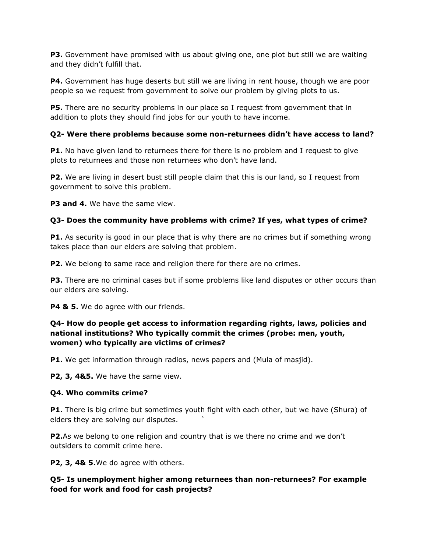**P3.** Government have promised with us about giving one, one plot but still we are waiting and they didn't fulfill that.

**P4.** Government has huge deserts but still we are living in rent house, though we are poor people so we request from government to solve our problem by giving plots to us.

**P5.** There are no security problems in our place so I request from government that in addition to plots they should find jobs for our youth to have income.

# **Q2- Were there problems because some non-returnees didn't have access to land?**

**P1.** No have given land to returnees there for there is no problem and I request to give plots to returnees and those non returnees who don't have land.

**P2.** We are living in desert bust still people claim that this is our land, so I request from government to solve this problem.

**P3 and 4.** We have the same view.

# **Q3- Does the community have problems with crime? If yes, what types of crime?**

**P1.** As security is good in our place that is why there are no crimes but if something wrong takes place than our elders are solving that problem.

**P2.** We belong to same race and religion there for there are no crimes.

**P3.** There are no criminal cases but if some problems like land disputes or other occurs than our elders are solving.

**P4 & 5.** We do agree with our friends.

# **Q4- How do people get access to information regarding rights, laws, policies and national institutions? Who typically commit the crimes (probe: men, youth, women) who typically are victims of crimes?**

**P1.** We get information through radios, news papers and (Mula of masjid).

**P2, 3, 4&5.** We have the same view.

# **Q4. Who commits crime?**

**P1.** There is big crime but sometimes youth fight with each other, but we have (Shura) of elders they are solving our disputes. `

**P2.**As we belong to one religion and country that is we there no crime and we don't outsiders to commit crime here.

**P2, 3, 4& 5.**We do agree with others.

**Q5- Is unemployment higher among returnees than non-returnees? For example food for work and food for cash projects?**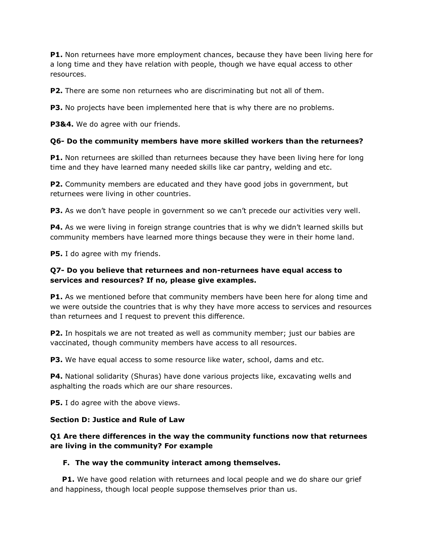**P1.** Non returnees have more employment chances, because they have been living here for a long time and they have relation with people, though we have equal access to other resources.

**P2.** There are some non returnees who are discriminating but not all of them.

**P3.** No projects have been implemented here that is why there are no problems.

**P3&4.** We do agree with our friends.

#### **Q6- Do the community members have more skilled workers than the returnees?**

**P1.** Non returnees are skilled than returnees because they have been living here for long time and they have learned many needed skills like car pantry, welding and etc.

**P2.** Community members are educated and they have good jobs in government, but returnees were living in other countries.

**P3.** As we don't have people in government so we can't precede our activities very well.

**P4.** As we were living in foreign strange countries that is why we didn't learned skills but community members have learned more things because they were in their home land.

**P5.** I do agree with my friends.

# **Q7- Do you believe that returnees and non-returnees have equal access to services and resources? If no, please give examples.**

**P1.** As we mentioned before that community members have been here for along time and we were outside the countries that is why they have more access to services and resources than returnees and I request to prevent this difference.

**P2.** In hospitals we are not treated as well as community member; just our babies are vaccinated, though community members have access to all resources.

**P3.** We have equal access to some resource like water, school, dams and etc.

**P4.** National solidarity (Shuras) have done various projects like, excavating wells and asphalting the roads which are our share resources.

**P5.** I do agree with the above views.

# **Section D: Justice and Rule of Law**

# **Q1 Are there differences in the way the community functions now that returnees are living in the community? For example**

# **F. The way the community interact among themselves.**

**P1.** We have good relation with returnees and local people and we do share our grief and happiness, though local people suppose themselves prior than us.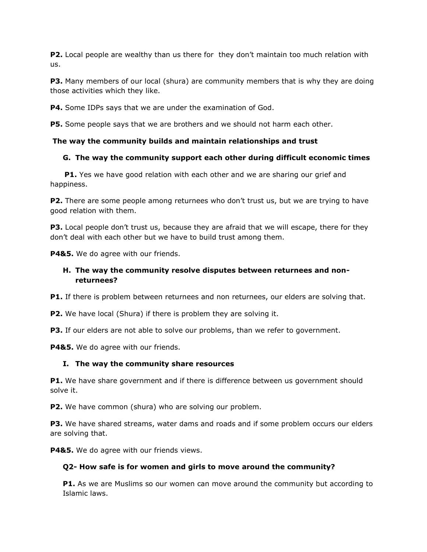**P2.** Local people are wealthy than us there for they don't maintain too much relation with us.

**P3.** Many members of our local (shura) are community members that is why they are doing those activities which they like.

**P4.** Some IDPs says that we are under the examination of God.

**P5.** Some people says that we are brothers and we should not harm each other.

#### **The way the community builds and maintain relationships and trust**

#### **G. The way the community support each other during difficult economic times**

**P1.** Yes we have good relation with each other and we are sharing our grief and happiness.

**P2.** There are some people among returnees who don't trust us, but we are trying to have good relation with them.

**P3.** Local people don't trust us, because they are afraid that we will escape, there for they don't deal with each other but we have to build trust among them.

**P4&5.** We do agree with our friends.

# **H. The way the community resolve disputes between returnees and nonreturnees?**

**P1.** If there is problem between returnees and non returnees, our elders are solving that.

**P2.** We have local (Shura) if there is problem they are solving it.

**P3.** If our elders are not able to solve our problems, than we refer to government.

**P4&5.** We do agree with our friends.

#### **I. The way the community share resources**

**P1.** We have share government and if there is difference between us government should solve it.

**P2.** We have common (shura) who are solving our problem.

**P3.** We have shared streams, water dams and roads and if some problem occurs our elders are solving that.

**P4&5.** We do agree with our friends views.

#### **Q2- How safe is for women and girls to move around the community?**

**P1.** As we are Muslims so our women can move around the community but according to Islamic laws.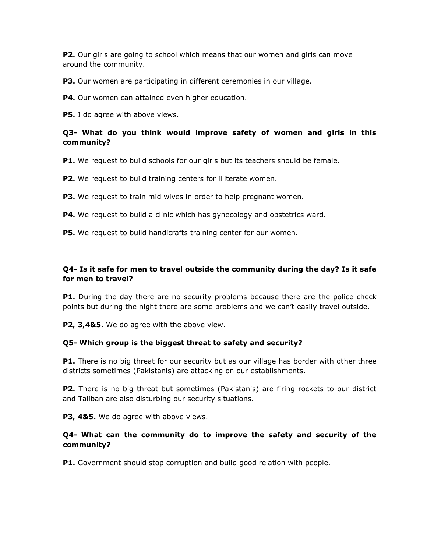**P2.** Our girls are going to school which means that our women and girls can move around the community.

**P3.** Our women are participating in different ceremonies in our village.

**P4.** Our women can attained even higher education.

**P5.** I do agree with above views.

# **Q3- What do you think would improve safety of women and girls in this community?**

**P1.** We request to build schools for our girls but its teachers should be female.

**P2.** We request to build training centers for illiterate women.

**P3.** We request to train mid wives in order to help pregnant women.

**P4.** We request to build a clinic which has gynecology and obstetrics ward.

**P5.** We request to build handicrafts training center for our women.

# **Q4- Is it safe for men to travel outside the community during the day? Is it safe for men to travel?**

**P1.** During the day there are no security problems because there are the police check points but during the night there are some problems and we can't easily travel outside.

**P2, 3,4&5.** We do agree with the above view.

# **Q5- Which group is the biggest threat to safety and security?**

**P1.** There is no big threat for our security but as our village has border with other three districts sometimes (Pakistanis) are attacking on our establishments.

**P2.** There is no big threat but sometimes (Pakistanis) are firing rockets to our district and Taliban are also disturbing our security situations.

**P3, 4&5.** We do agree with above views.

# **Q4- What can the community do to improve the safety and security of the community?**

**P1.** Government should stop corruption and build good relation with people.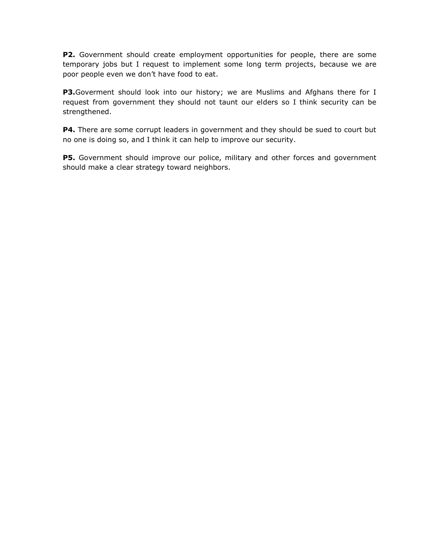**P2.** Government should create employment opportunities for people, there are some temporary jobs but I request to implement some long term projects, because we are poor people even we don't have food to eat.

**P3.**Goverment should look into our history; we are Muslims and Afghans there for I request from government they should not taunt our elders so I think security can be strengthened.

**P4.** There are some corrupt leaders in government and they should be sued to court but no one is doing so, and I think it can help to improve our security.

**P5.** Government should improve our police, military and other forces and government should make a clear strategy toward neighbors.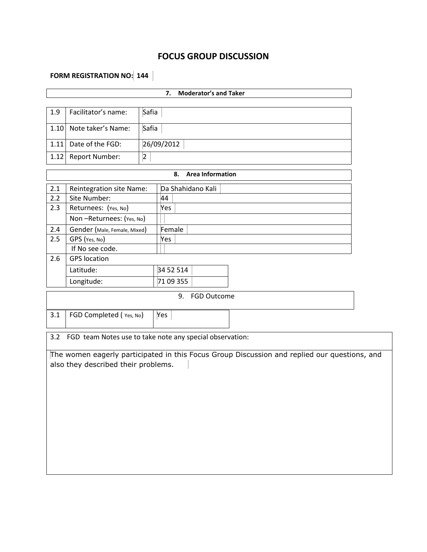# **FOCUS GROUP DISCUSSION**

# **FORM REGISTRATION NO:** 144

| <b>Moderator's and Taker</b><br>7.                                                                                                  |                                                          |           |            |                         |  |  |  |  |
|-------------------------------------------------------------------------------------------------------------------------------------|----------------------------------------------------------|-----------|------------|-------------------------|--|--|--|--|
| 1.9                                                                                                                                 | Facilitator's name:                                      | Safia     |            |                         |  |  |  |  |
| 1.10                                                                                                                                | Note taker's Name:                                       | Safia     |            |                         |  |  |  |  |
| 1.11                                                                                                                                | Date of the FGD:                                         |           | 26/09/2012 |                         |  |  |  |  |
| 1.12                                                                                                                                | Report Number:                                           | $\vert$ 2 |            |                         |  |  |  |  |
|                                                                                                                                     |                                                          |           | 8.         | <b>Area Information</b> |  |  |  |  |
| 2.1                                                                                                                                 | Reintegration site Name:                                 |           |            | Da Shahidano Kali       |  |  |  |  |
| 2.2                                                                                                                                 | Site Number:                                             |           | 44         |                         |  |  |  |  |
| 2.3                                                                                                                                 | Returnees: (Yes, No)                                     |           | Yes        |                         |  |  |  |  |
|                                                                                                                                     | Non-Returnees: (Yes, No)                                 |           |            |                         |  |  |  |  |
| 2.4                                                                                                                                 | Gender (Male, Female, Mixed)                             |           | Female     |                         |  |  |  |  |
| 2.5                                                                                                                                 | GPS (Yes, No)                                            |           | Yes        |                         |  |  |  |  |
|                                                                                                                                     | If No see code.                                          |           |            |                         |  |  |  |  |
| 2.6                                                                                                                                 | <b>GPS</b> location                                      |           |            |                         |  |  |  |  |
|                                                                                                                                     | Latitude:                                                |           | 34 52 514  |                         |  |  |  |  |
|                                                                                                                                     | Longitude:                                               |           | 71 09 355  |                         |  |  |  |  |
|                                                                                                                                     |                                                          |           |            | 9. FGD Outcome          |  |  |  |  |
| 3.1                                                                                                                                 | FGD Completed (Yes, No)<br>Yes                           |           |            |                         |  |  |  |  |
| 3.2                                                                                                                                 | FGD team Notes use to take note any special observation: |           |            |                         |  |  |  |  |
| The women eagerly participated in this Focus Group Discussion and replied our questions, and<br>also they described their problems. |                                                          |           |            |                         |  |  |  |  |
|                                                                                                                                     |                                                          |           |            |                         |  |  |  |  |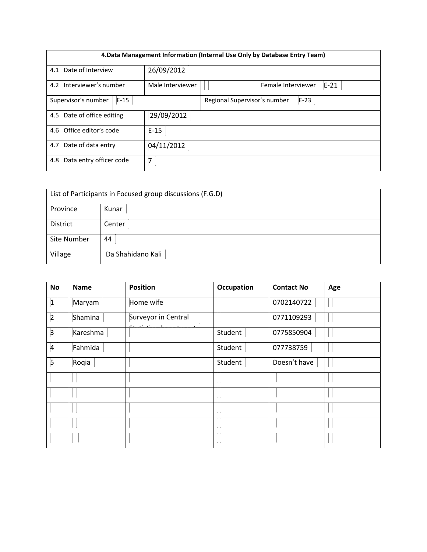| 4. Data Management Information (Internal Use Only by Database Entry Team) |                                                  |  |  |  |  |  |  |
|---------------------------------------------------------------------------|--------------------------------------------------|--|--|--|--|--|--|
| 4.1 Date of Interview                                                     | 26/09/2012                                       |  |  |  |  |  |  |
| 4.2 Interviewer's number                                                  | Female Interviewer<br>Male Interviewer<br>$E-21$ |  |  |  |  |  |  |
| Supervisor's number<br>$E-15$                                             | Regional Supervisor's number<br>$E-23$           |  |  |  |  |  |  |
| 4.5 Date of office editing                                                | 29/09/2012                                       |  |  |  |  |  |  |
| 4.6 Office editor's code                                                  | $E-15$                                           |  |  |  |  |  |  |
| 4.7 Date of data entry                                                    | 04/11/2012                                       |  |  |  |  |  |  |
| Data entry officer code<br>4.8                                            | 7                                                |  |  |  |  |  |  |

| List of Participants in Focused group discussions (F.G.D) |                   |  |  |  |
|-----------------------------------------------------------|-------------------|--|--|--|
| Province                                                  | Kunar             |  |  |  |
| District                                                  | Center            |  |  |  |
| Site Number                                               | 44                |  |  |  |
| Village                                                   | Da Shahidano Kali |  |  |  |

| <b>No</b>      | <b>Name</b> | <b>Position</b>                           | Occupation | <b>Contact No</b> | Age |
|----------------|-------------|-------------------------------------------|------------|-------------------|-----|
| $\vert$ 1      | Maryam      | Home wife                                 |            | 0702140722        |     |
| $\overline{2}$ | Shamina     | Surveyor in Central<br>المستحدث والمستحدث |            | 0771109293        |     |
| 3              | Kareshma    |                                           | Student    | 0775850904        |     |
| $\vert$ 4      | Fahmida     |                                           | Student    | 077738759         |     |
| $\vert$ 5      | Roqia       |                                           | Student    | Doesn't have      |     |
|                |             |                                           |            |                   |     |
|                |             |                                           |            |                   |     |
|                |             |                                           |            |                   |     |
|                |             |                                           |            |                   |     |
|                |             |                                           |            |                   |     |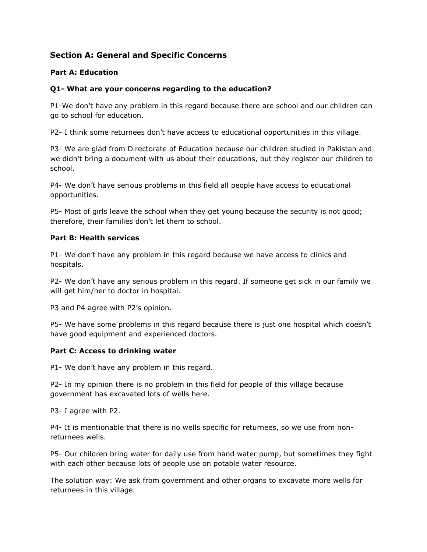# **Section A: General and Specific Concerns**

# **Part A: Education**

# **Q1- What are your concerns regarding to the education?**

P1-We don't have any problem in this regard because there are school and our children can go to school for education.

P2- I think some returnees don't have access to educational opportunities in this village.

P3- We are glad from Directorate of Education because our children studied in Pakistan and we didn't bring a document with us about their educations, but they register our children to school.

P4- We don't have serious problems in this field all people have access to educational opportunities.

P5- Most of girls leave the school when they get young because the security is not good; therefore, their families don't let them to school.

#### **Part B: Health services**

P1- We don't have any problem in this regard because we have access to clinics and hospitals.

P2- We don't have any serious problem in this regard. If someone get sick in our family we will get him/her to doctor in hospital.

P3 and P4 agree with P2's opinion.

P5- We have some problems in this regard because there is just one hospital which doesn't have good equipment and experienced doctors.

# **Part C: Access to drinking water**

P1- We don't have any problem in this regard.

P2- In my opinion there is no problem in this field for people of this village because government has excavated lots of wells here.

P3- I agree with P2.

P4- It is mentionable that there is no wells specific for returnees, so we use from nonreturnees wells.

P5- Our children bring water for daily use from hand water pump, but sometimes they fight with each other because lots of people use on potable water resource.

The solution way: We ask from government and other organs to excavate more wells for returnees in this village.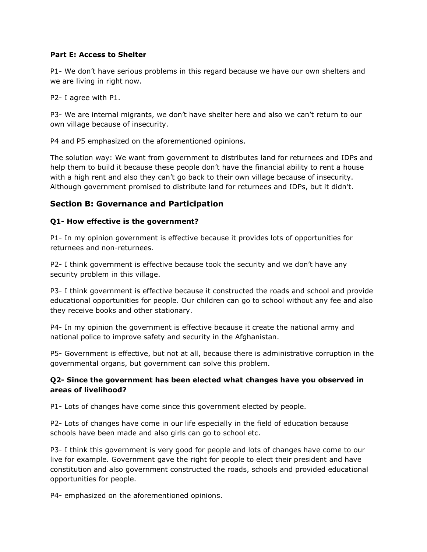#### **Part E: Access to Shelter**

P1- We don't have serious problems in this regard because we have our own shelters and we are living in right now.

P2- I agree with P1.

P3- We are internal migrants, we don't have shelter here and also we can't return to our own village because of insecurity.

P4 and P5 emphasized on the aforementioned opinions.

The solution way: We want from government to distributes land for returnees and IDPs and help them to build it because these people don't have the financial ability to rent a house with a high rent and also they can't go back to their own village because of insecurity. Although government promised to distribute land for returnees and IDPs, but it didn't.

# **Section B: Governance and Participation**

# **Q1- How effective is the government?**

P1- In my opinion government is effective because it provides lots of opportunities for returnees and non-returnees.

P2- I think government is effective because took the security and we don't have any security problem in this village.

P3- I think government is effective because it constructed the roads and school and provide educational opportunities for people. Our children can go to school without any fee and also they receive books and other stationary.

P4- In my opinion the government is effective because it create the national army and national police to improve safety and security in the Afghanistan.

P5- Government is effective, but not at all, because there is administrative corruption in the governmental organs, but government can solve this problem.

# **Q2- Since the government has been elected what changes have you observed in areas of livelihood?**

P1- Lots of changes have come since this government elected by people.

P2- Lots of changes have come in our life especially in the field of education because schools have been made and also girls can go to school etc.

P3- I think this government is very good for people and lots of changes have come to our live for example. Government gave the right for people to elect their president and have constitution and also government constructed the roads, schools and provided educational opportunities for people.

P4- emphasized on the aforementioned opinions.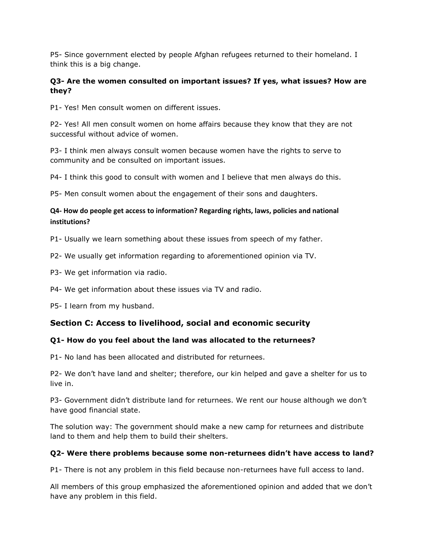P5- Since government elected by people Afghan refugees returned to their homeland. I think this is a big change.

# **Q3- Are the women consulted on important issues? If yes, what issues? How are they?**

P1- Yes! Men consult women on different issues.

P2- Yes! All men consult women on home affairs because they know that they are not successful without advice of women.

P3- I think men always consult women because women have the rights to serve to community and be consulted on important issues.

P4- I think this good to consult with women and I believe that men always do this.

P5- Men consult women about the engagement of their sons and daughters.

# **Q4- How do people get access to information? Regarding rights, laws, policies and national institutions?**

P1- Usually we learn something about these issues from speech of my father.

- P2- We usually get information regarding to aforementioned opinion via TV.
- P3- We get information via radio.
- P4- We get information about these issues via TV and radio.

P5- I learn from my husband.

# **Section C: Access to livelihood, social and economic security**

# **Q1- How do you feel about the land was allocated to the returnees?**

P1- No land has been allocated and distributed for returnees.

P2- We don't have land and shelter; therefore, our kin helped and gave a shelter for us to live in.

P3- Government didn't distribute land for returnees. We rent our house although we don't have good financial state.

The solution way: The government should make a new camp for returnees and distribute land to them and help them to build their shelters.

# **Q2- Were there problems because some non-returnees didn't have access to land?**

P1- There is not any problem in this field because non-returnees have full access to land.

All members of this group emphasized the aforementioned opinion and added that we don't have any problem in this field.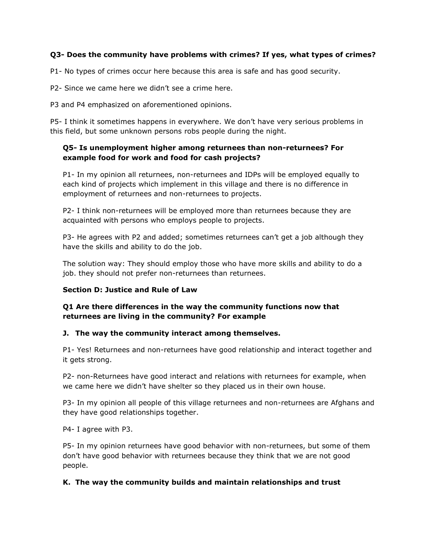# **Q3- Does the community have problems with crimes? If yes, what types of crimes?**

P1- No types of crimes occur here because this area is safe and has good security.

P2- Since we came here we didn't see a crime here.

P3 and P4 emphasized on aforementioned opinions.

P5- I think it sometimes happens in everywhere. We don't have very serious problems in this field, but some unknown persons robs people during the night.

# **Q5- Is unemployment higher among returnees than non-returnees? For example food for work and food for cash projects?**

P1- In my opinion all returnees, non-returnees and IDPs will be employed equally to each kind of projects which implement in this village and there is no difference in employment of returnees and non-returnees to projects.

P2- I think non-returnees will be employed more than returnees because they are acquainted with persons who employs people to projects.

P3- He agrees with P2 and added; sometimes returnees can't get a job although they have the skills and ability to do the job.

The solution way: They should employ those who have more skills and ability to do a job. they should not prefer non-returnees than returnees.

# **Section D: Justice and Rule of Law**

# **Q1 Are there differences in the way the community functions now that returnees are living in the community? For example**

# **J. The way the community interact among themselves.**

P1- Yes! Returnees and non-returnees have good relationship and interact together and it gets strong.

P2- non-Returnees have good interact and relations with returnees for example, when we came here we didn't have shelter so they placed us in their own house.

P3- In my opinion all people of this village returnees and non-returnees are Afghans and they have good relationships together.

P4- I agree with P3.

P5- In my opinion returnees have good behavior with non-returnees, but some of them don't have good behavior with returnees because they think that we are not good people.

# **K. The way the community builds and maintain relationships and trust**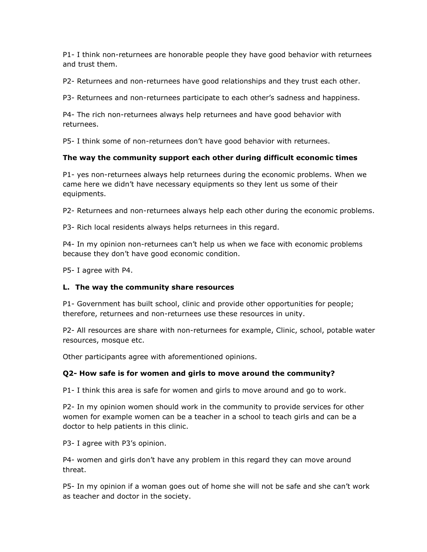P1- I think non-returnees are honorable people they have good behavior with returnees and trust them.

P2- Returnees and non-returnees have good relationships and they trust each other.

P3- Returnees and non-returnees participate to each other's sadness and happiness.

P4- The rich non-returnees always help returnees and have good behavior with returnees.

P5- I think some of non-returnees don't have good behavior with returnees.

# **The way the community support each other during difficult economic times**

P1- yes non-returnees always help returnees during the economic problems. When we came here we didn't have necessary equipments so they lent us some of their equipments.

P2- Returnees and non-returnees always help each other during the economic problems.

P3- Rich local residents always helps returnees in this regard.

P4- In my opinion non-returnees can't help us when we face with economic problems because they don't have good economic condition.

P5- I agree with P4.

# **L. The way the community share resources**

P1- Government has built school, clinic and provide other opportunities for people; therefore, returnees and non-returnees use these resources in unity.

P2- All resources are share with non-returnees for example, Clinic, school, potable water resources, mosque etc.

Other participants agree with aforementioned opinions.

# **Q2- How safe is for women and girls to move around the community?**

P1- I think this area is safe for women and girls to move around and go to work.

P2- In my opinion women should work in the community to provide services for other women for example women can be a teacher in a school to teach girls and can be a doctor to help patients in this clinic.

P3- I agree with P3's opinion.

P4- women and girls don't have any problem in this regard they can move around threat.

P5- In my opinion if a woman goes out of home she will not be safe and she can't work as teacher and doctor in the society.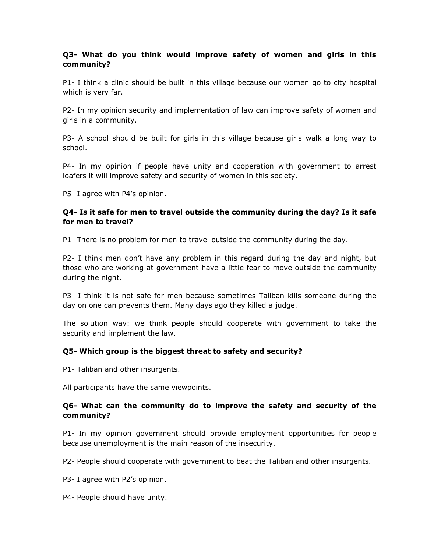# **Q3- What do you think would improve safety of women and girls in this community?**

P1- I think a clinic should be built in this village because our women go to city hospital which is very far.

P2- In my opinion security and implementation of law can improve safety of women and girls in a community.

P3- A school should be built for girls in this village because girls walk a long way to school.

P4- In my opinion if people have unity and cooperation with government to arrest loafers it will improve safety and security of women in this society.

P5- I agree with P4's opinion.

# **Q4- Is it safe for men to travel outside the community during the day? Is it safe for men to travel?**

P1- There is no problem for men to travel outside the community during the day.

P2- I think men don't have any problem in this regard during the day and night, but those who are working at government have a little fear to move outside the community during the night.

P3- I think it is not safe for men because sometimes Taliban kills someone during the day on one can prevents them. Many days ago they killed a judge.

The solution way: we think people should cooperate with government to take the security and implement the law.

# **Q5- Which group is the biggest threat to safety and security?**

P1- Taliban and other insurgents.

All participants have the same viewpoints.

#### **Q6- What can the community do to improve the safety and security of the community?**

P1- In my opinion government should provide employment opportunities for people because unemployment is the main reason of the insecurity.

P2- People should cooperate with government to beat the Taliban and other insurgents.

- P3- I agree with P2's opinion.
- P4- People should have unity.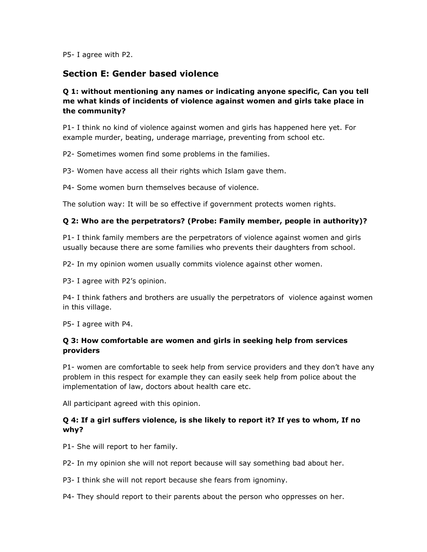P5- I agree with P2.

# **Section E: Gender based violence**

# **Q 1: without mentioning any names or indicating anyone specific, Can you tell me what kinds of incidents of violence against women and girls take place in the community?**

P1- I think no kind of violence against women and girls has happened here yet. For example murder, beating, underage marriage, preventing from school etc.

P2- Sometimes women find some problems in the families.

P3- Women have access all their rights which Islam gave them.

P4- Some women burn themselves because of violence.

The solution way: It will be so effective if government protects women rights.

# **Q 2: Who are the perpetrators? (Probe: Family member, people in authority)?**

P1- I think family members are the perpetrators of violence against women and girls usually because there are some families who prevents their daughters from school.

P2- In my opinion women usually commits violence against other women.

P3- I agree with P2's opinion.

P4- I think fathers and brothers are usually the perpetrators of violence against women in this village.

P5- I agree with P4.

# **Q 3: How comfortable are women and girls in seeking help from services providers**

P1- women are comfortable to seek help from service providers and they don't have any problem in this respect for example they can easily seek help from police about the implementation of law, doctors about health care etc.

All participant agreed with this opinion.

# **Q 4: If a girl suffers violence, is she likely to report it? If yes to whom, If no why?**

- P1- She will report to her family.
- P2- In my opinion she will not report because will say something bad about her.
- P3- I think she will not report because she fears from ignominy.
- P4- They should report to their parents about the person who oppresses on her.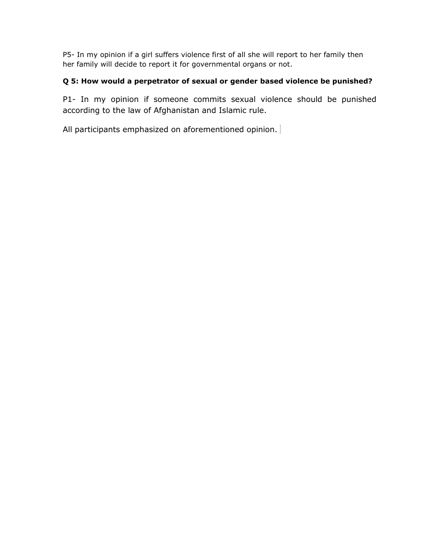P5- In my opinion if a girl suffers violence first of all she will report to her family then her family will decide to report it for governmental organs or not.

# **Q 5: How would a perpetrator of sexual or gender based violence be punished?**

P1- In my opinion if someone commits sexual violence should be punished according to the law of Afghanistan and Islamic rule.

All participants emphasized on aforementioned opinion.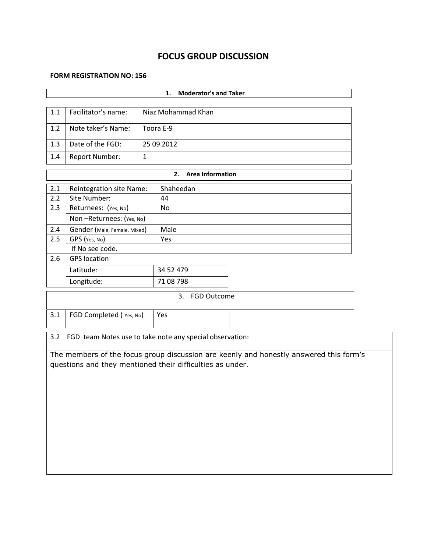# **FOCUS GROUP DISCUSSION**

#### **FORM REGISTRATION NO: 156**

|                                                                 | <b>Moderator's and Taker</b><br>1.                        |              |                    |                                                                                        |  |  |  |  |
|-----------------------------------------------------------------|-----------------------------------------------------------|--------------|--------------------|----------------------------------------------------------------------------------------|--|--|--|--|
|                                                                 |                                                           |              |                    |                                                                                        |  |  |  |  |
| 1.1                                                             | Facilitator's name:                                       |              | Niaz Mohammad Khan |                                                                                        |  |  |  |  |
| 1.2                                                             | Note taker's Name:                                        |              | Toora E-9          |                                                                                        |  |  |  |  |
| 1.3                                                             | Date of the FGD:                                          |              | 25 09 2012         |                                                                                        |  |  |  |  |
| 1.4                                                             | <b>Report Number:</b>                                     | $\mathbf{1}$ |                    |                                                                                        |  |  |  |  |
| <b>Area Information</b><br>2.                                   |                                                           |              |                    |                                                                                        |  |  |  |  |
| 2.1                                                             | Reintegration site Name:                                  |              | Shaheedan          |                                                                                        |  |  |  |  |
| 2.2                                                             | Site Number:                                              |              | 44                 |                                                                                        |  |  |  |  |
| 2.3                                                             | Returnees: (Yes, No)                                      |              | <b>No</b>          |                                                                                        |  |  |  |  |
|                                                                 | Non-Returnees: (Yes, No)                                  |              |                    |                                                                                        |  |  |  |  |
| 2.4                                                             | Gender (Male, Female, Mixed)                              |              | Male               |                                                                                        |  |  |  |  |
| 2.5                                                             | GPS (Yes, No)                                             |              | Yes                |                                                                                        |  |  |  |  |
|                                                                 | If No see code.                                           |              |                    |                                                                                        |  |  |  |  |
| 2.6                                                             | <b>GPS</b> location                                       |              |                    |                                                                                        |  |  |  |  |
|                                                                 | Latitude:                                                 |              | 34 52 479          |                                                                                        |  |  |  |  |
|                                                                 | Longitude:                                                |              | 71 08 798          |                                                                                        |  |  |  |  |
| <b>FGD Outcome</b><br>3.                                        |                                                           |              |                    |                                                                                        |  |  |  |  |
| 3.1                                                             | FGD Completed (Yes, No)                                   |              | Yes                |                                                                                        |  |  |  |  |
| FGD team Notes use to take note any special observation:<br>3.2 |                                                           |              |                    |                                                                                        |  |  |  |  |
|                                                                 | questions and they mentioned their difficulties as under. |              |                    | The members of the focus group discussion are keenly and honestly answered this form's |  |  |  |  |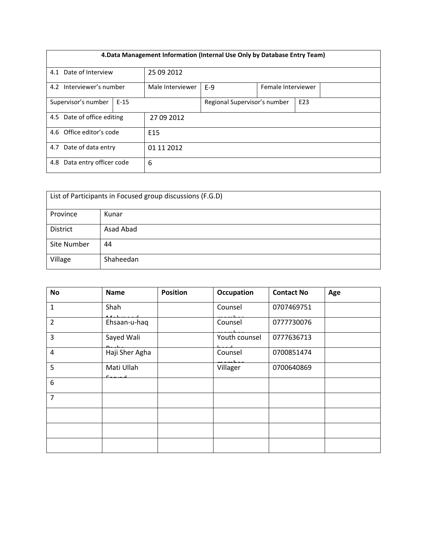| 4. Data Management Information (Internal Use Only by Database Entry Team) |  |                  |                              |  |                 |  |  |  |
|---------------------------------------------------------------------------|--|------------------|------------------------------|--|-----------------|--|--|--|
| 4.1 Date of Interview                                                     |  | 25 09 2012       |                              |  |                 |  |  |  |
| Interviewer's number<br>4.2                                               |  | Male Interviewer | $E-9$<br>Female Interviewer  |  |                 |  |  |  |
| Supervisor's number<br>$E-15$                                             |  |                  | Regional Supervisor's number |  | E <sub>23</sub> |  |  |  |
| 4.5 Date of office editing                                                |  | 27 09 2012       |                              |  |                 |  |  |  |
| 4.6 Office editor's code                                                  |  | E <sub>15</sub>  |                              |  |                 |  |  |  |
| 4.7 Date of data entry                                                    |  | 01 11 2012       |                              |  |                 |  |  |  |
| Data entry officer code<br>4.8                                            |  | 6                |                              |  |                 |  |  |  |

| List of Participants in Focused group discussions (F.G.D) |           |  |  |  |
|-----------------------------------------------------------|-----------|--|--|--|
| Province                                                  | Kunar     |  |  |  |
| <b>District</b>                                           | Asad Abad |  |  |  |
| Site Number                                               | 44        |  |  |  |
| Village                                                   | Shaheedan |  |  |  |

| <b>No</b>      | <b>Name</b>    | <b>Position</b> | <b>Occupation</b> | <b>Contact No</b> | Age |
|----------------|----------------|-----------------|-------------------|-------------------|-----|
| $\mathbf{1}$   | Shah           |                 | Counsel           | 0707469751        |     |
| $\overline{2}$ | Ehsaan-u-haq   |                 | Counsel           | 0777730076        |     |
| 3              | Sayed Wali     |                 | Youth counsel     | 0777636713        |     |
| $\overline{4}$ | Haji Sher Agha |                 | Counsel           | 0700851474        |     |
| 5              | Mati Ullah     |                 | Villager          | 0700640869        |     |
| 6              |                |                 |                   |                   |     |
| $\overline{7}$ |                |                 |                   |                   |     |
|                |                |                 |                   |                   |     |
|                |                |                 |                   |                   |     |
|                |                |                 |                   |                   |     |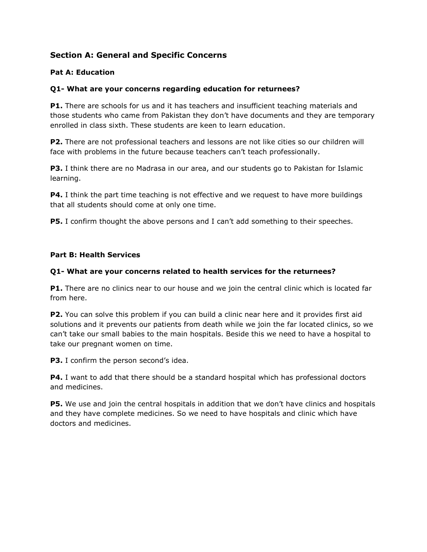# **Section A: General and Specific Concerns**

# **Pat A: Education**

# **Q1- What are your concerns regarding education for returnees?**

**P1.** There are schools for us and it has teachers and insufficient teaching materials and those students who came from Pakistan they don't have documents and they are temporary enrolled in class sixth. These students are keen to learn education.

**P2.** There are not professional teachers and lessons are not like cities so our children will face with problems in the future because teachers can't teach professionally.

**P3.** I think there are no Madrasa in our area, and our students go to Pakistan for Islamic learning.

**P4.** I think the part time teaching is not effective and we request to have more buildings that all students should come at only one time.

**P5.** I confirm thought the above persons and I can't add something to their speeches.

#### **Part B: Health Services**

#### **Q1- What are your concerns related to health services for the returnees?**

**P1.** There are no clinics near to our house and we join the central clinic which is located far from here.

**P2.** You can solve this problem if you can build a clinic near here and it provides first aid solutions and it prevents our patients from death while we join the far located clinics, so we can't take our small babies to the main hospitals. Beside this we need to have a hospital to take our pregnant women on time.

**P3.** I confirm the person second's idea.

**P4.** I want to add that there should be a standard hospital which has professional doctors and medicines.

**P5.** We use and join the central hospitals in addition that we don't have clinics and hospitals and they have complete medicines. So we need to have hospitals and clinic which have doctors and medicines.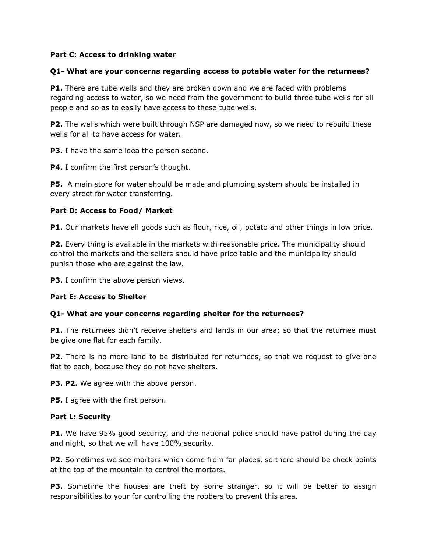#### **Part C: Access to drinking water**

## **Q1- What are your concerns regarding access to potable water for the returnees?**

**P1.** There are tube wells and they are broken down and we are faced with problems regarding access to water, so we need from the government to build three tube wells for all people and so as to easily have access to these tube wells.

**P2.** The wells which were built through NSP are damaged now, so we need to rebuild these wells for all to have access for water.

**P3.** I have the same idea the person second.

**P4.** I confirm the first person's thought.

**P5.** A main store for water should be made and plumbing system should be installed in every street for water transferring.

#### **Part D: Access to Food/ Market**

**P1.** Our markets have all goods such as flour, rice, oil, potato and other things in low price.

**P2.** Every thing is available in the markets with reasonable price. The municipality should control the markets and the sellers should have price table and the municipality should punish those who are against the law.

**P3.** I confirm the above person views.

# **Part E: Access to Shelter**

# **Q1- What are your concerns regarding shelter for the returnees?**

**P1.** The returnees didn't receive shelters and lands in our area; so that the returnee must be give one flat for each family.

**P2.** There is no more land to be distributed for returnees, so that we request to give one flat to each, because they do not have shelters.

**P3. P2.** We agree with the above person.

**P5.** I agree with the first person.

#### **Part L: Security**

**P1.** We have 95% good security, and the national police should have patrol during the day and night, so that we will have 100% security.

**P2.** Sometimes we see mortars which come from far places, so there should be check points at the top of the mountain to control the mortars.

**P3.** Sometime the houses are theft by some stranger, so it will be better to assign responsibilities to your for controlling the robbers to prevent this area.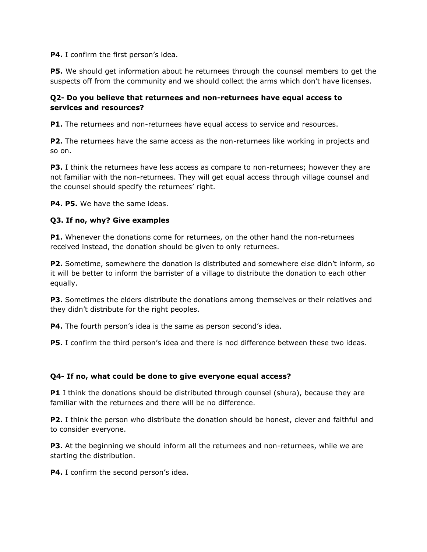**P4.** I confirm the first person's idea.

**P5.** We should get information about he returnees through the counsel members to get the suspects off from the community and we should collect the arms which don't have licenses.

# **Q2- Do you believe that returnees and non-returnees have equal access to services and resources?**

**P1.** The returnees and non-returnees have equal access to service and resources.

**P2.** The returnees have the same access as the non-returnees like working in projects and so on.

**P3.** I think the returnees have less access as compare to non-returnees; however they are not familiar with the non-returnees. They will get equal access through village counsel and the counsel should specify the returnees' right.

**P4. P5.** We have the same ideas.

# **Q3. If no, why? Give examples**

**P1.** Whenever the donations come for returnees, on the other hand the non-returnees received instead, the donation should be given to only returnees.

**P2.** Sometime, somewhere the donation is distributed and somewhere else didn't inform, so it will be better to inform the barrister of a village to distribute the donation to each other equally.

**P3.** Sometimes the elders distribute the donations among themselves or their relatives and they didn't distribute for the right peoples.

**P4.** The fourth person's idea is the same as person second's idea.

**P5.** I confirm the third person's idea and there is nod difference between these two ideas.

# **Q4- If no, what could be done to give everyone equal access?**

**P1** I think the donations should be distributed through counsel (shura), because they are familiar with the returnees and there will be no difference.

**P2.** I think the person who distribute the donation should be honest, clever and faithful and to consider everyone.

**P3.** At the beginning we should inform all the returnees and non-returnees, while we are starting the distribution.

**P4.** I confirm the second person's idea.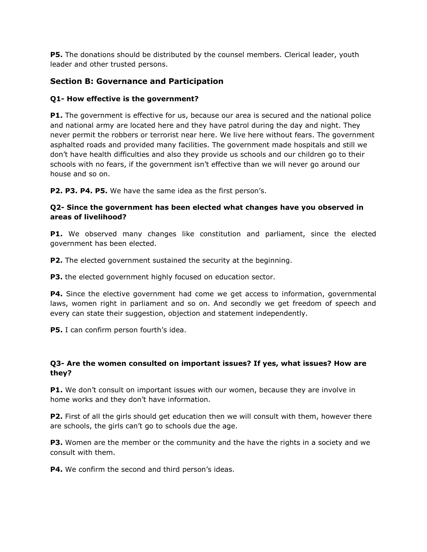**P5.** The donations should be distributed by the counsel members. Clerical leader, youth leader and other trusted persons.

# **Section B: Governance and Participation**

# **Q1- How effective is the government?**

**P1.** The government is effective for us, because our area is secured and the national police and national army are located here and they have patrol during the day and night. They never permit the robbers or terrorist near here. We live here without fears. The government asphalted roads and provided many facilities. The government made hospitals and still we don't have health difficulties and also they provide us schools and our children go to their schools with no fears, if the government isn't effective than we will never go around our house and so on.

**P2. P3. P4. P5.** We have the same idea as the first person's.

# **Q2- Since the government has been elected what changes have you observed in areas of livelihood?**

**P1.** We observed many changes like constitution and parliament, since the elected government has been elected.

**P2.** The elected government sustained the security at the beginning.

**P3.** the elected government highly focused on education sector.

**P4.** Since the elective government had come we get access to information, governmental laws, women right in parliament and so on. And secondly we get freedom of speech and every can state their suggestion, objection and statement independently.

**P5.** I can confirm person fourth's idea.

# **Q3- Are the women consulted on important issues? If yes, what issues? How are they?**

**P1.** We don't consult on important issues with our women, because they are involve in home works and they don't have information.

**P2.** First of all the girls should get education then we will consult with them, however there are schools, the girls can't go to schools due the age.

**P3.** Women are the member or the community and the have the rights in a society and we consult with them.

**P4.** We confirm the second and third person's ideas.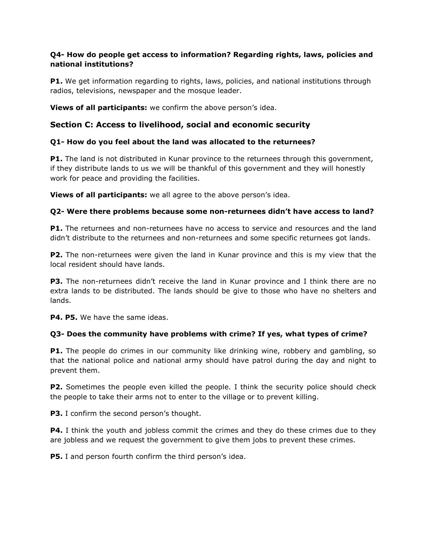# **Q4- How do people get access to information? Regarding rights, laws, policies and national institutions?**

**P1.** We get information regarding to rights, laws, policies, and national institutions through radios, televisions, newspaper and the mosque leader.

**Views of all participants:** we confirm the above person's idea.

# **Section C: Access to livelihood, social and economic security**

# **Q1- How do you feel about the land was allocated to the returnees?**

**P1.** The land is not distributed in Kunar province to the returnees through this government, if they distribute lands to us we will be thankful of this government and they will honestly work for peace and providing the facilities.

**Views of all participants:** we all agree to the above person's idea.

# **Q2- Were there problems because some non-returnees didn't have access to land?**

**P1.** The returnees and non-returnees have no access to service and resources and the land didn't distribute to the returnees and non-returnees and some specific returnees got lands.

**P2.** The non-returnees were given the land in Kunar province and this is my view that the local resident should have lands.

**P3.** The non-returnees didn't receive the land in Kunar province and I think there are no extra lands to be distributed. The lands should be give to those who have no shelters and lands.

**P4. P5.** We have the same ideas.

# **Q3- Does the community have problems with crime? If yes, what types of crime?**

**P1.** The people do crimes in our community like drinking wine, robbery and gambling, so that the national police and national army should have patrol during the day and night to prevent them.

**P2.** Sometimes the people even killed the people. I think the security police should check the people to take their arms not to enter to the village or to prevent killing.

**P3.** I confirm the second person's thought.

**P4.** I think the youth and jobless commit the crimes and they do these crimes due to they are jobless and we request the government to give them jobs to prevent these crimes.

**P5.** I and person fourth confirm the third person's idea.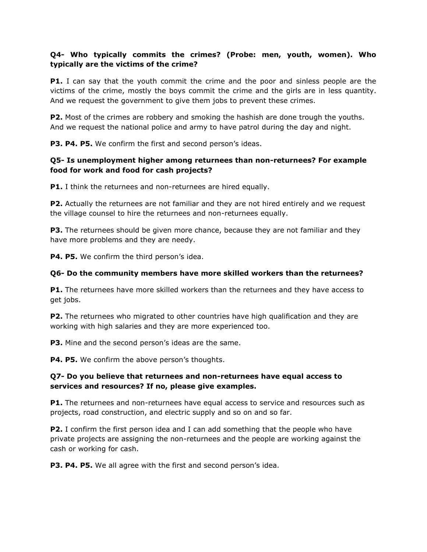# **Q4- Who typically commits the crimes? (Probe: men, youth, women). Who typically are the victims of the crime?**

**P1.** I can say that the youth commit the crime and the poor and sinless people are the victims of the crime, mostly the boys commit the crime and the girls are in less quantity. And we request the government to give them jobs to prevent these crimes.

**P2.** Most of the crimes are robbery and smoking the hashish are done trough the youths. And we request the national police and army to have patrol during the day and night.

**P3. P4. P5.** We confirm the first and second person's ideas.

# **Q5- Is unemployment higher among returnees than non-returnees? For example food for work and food for cash projects?**

**P1.** I think the returnees and non-returnees are hired equally.

**P2.** Actually the returnees are not familiar and they are not hired entirely and we request the village counsel to hire the returnees and non-returnees equally.

**P3.** The returnees should be given more chance, because they are not familiar and they have more problems and they are needy.

P4. P5. We confirm the third person's idea.

#### **Q6- Do the community members have more skilled workers than the returnees?**

**P1.** The returnees have more skilled workers than the returnees and they have access to get jobs.

**P2.** The returnees who migrated to other countries have high qualification and they are working with high salaries and they are more experienced too.

**P3.** Mine and the second person's ideas are the same.

**P4. P5.** We confirm the above person's thoughts.

# **Q7- Do you believe that returnees and non-returnees have equal access to services and resources? If no, please give examples.**

**P1.** The returnees and non-returnees have equal access to service and resources such as projects, road construction, and electric supply and so on and so far.

**P2.** I confirm the first person idea and I can add something that the people who have private projects are assigning the non-returnees and the people are working against the cash or working for cash.

**P3. P4. P5.** We all agree with the first and second person's idea.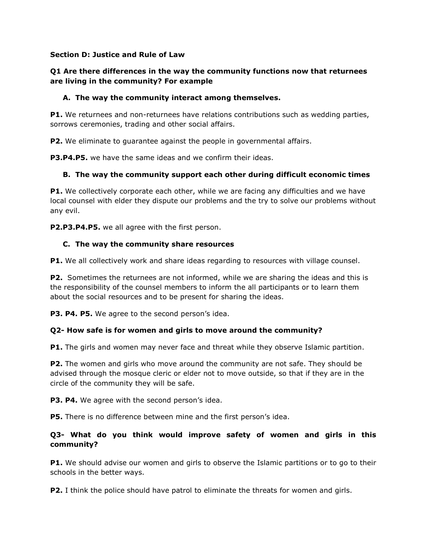## **Section D: Justice and Rule of Law**

# **Q1 Are there differences in the way the community functions now that returnees are living in the community? For example**

## **A. The way the community interact among themselves.**

**P1.** We returnees and non-returnees have relations contributions such as wedding parties, sorrows ceremonies, trading and other social affairs.

**P2.** We eliminate to guarantee against the people in governmental affairs.

**P3.P4.P5.** we have the same ideas and we confirm their ideas.

# **B. The way the community support each other during difficult economic times**

**P1.** We collectively corporate each other, while we are facing any difficulties and we have local counsel with elder they dispute our problems and the try to solve our problems without any evil.

**P2.P3.P4.P5.** we all agree with the first person.

#### **C. The way the community share resources**

**P1.** We all collectively work and share ideas regarding to resources with village counsel.

**P2.** Sometimes the returnees are not informed, while we are sharing the ideas and this is the responsibility of the counsel members to inform the all participants or to learn them about the social resources and to be present for sharing the ideas.

**P3. P4. P5.** We agree to the second person's idea.

# **Q2- How safe is for women and girls to move around the community?**

**P1.** The girls and women may never face and threat while they observe Islamic partition.

**P2.** The women and girls who move around the community are not safe. They should be advised through the mosque cleric or elder not to move outside, so that if they are in the circle of the community they will be safe.

**P3. P4.** We agree with the second person's idea.

**P5.** There is no difference between mine and the first person's idea.

# **Q3- What do you think would improve safety of women and girls in this community?**

**P1.** We should advise our women and girls to observe the Islamic partitions or to go to their schools in the better ways.

**P2.** I think the police should have patrol to eliminate the threats for women and girls.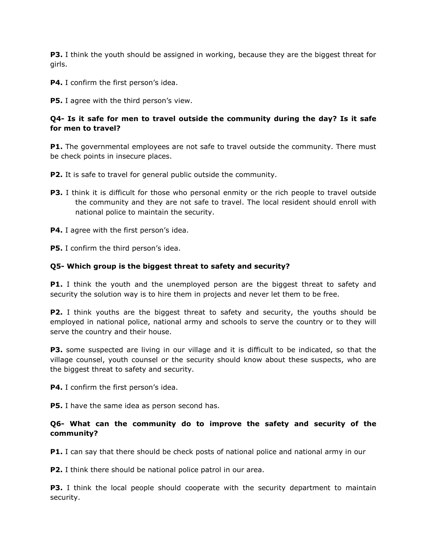**P3.** I think the youth should be assigned in working, because they are the biggest threat for girls.

**P4.** I confirm the first person's idea.

**P5.** I agree with the third person's view.

# **Q4- Is it safe for men to travel outside the community during the day? Is it safe for men to travel?**

**P1.** The governmental employees are not safe to travel outside the community. There must be check points in insecure places.

**P2.** It is safe to travel for general public outside the community.

- **P3.** I think it is difficult for those who personal enmity or the rich people to travel outside the community and they are not safe to travel. The local resident should enroll with national police to maintain the security.
- **P4.** I agree with the first person's idea.

**P5.** I confirm the third person's idea.

#### **Q5- Which group is the biggest threat to safety and security?**

**P1.** I think the youth and the unemployed person are the biggest threat to safety and security the solution way is to hire them in projects and never let them to be free.

**P2.** I think youths are the biggest threat to safety and security, the youths should be employed in national police, national army and schools to serve the country or to they will serve the country and their house.

**P3.** some suspected are living in our village and it is difficult to be indicated, so that the village counsel, youth counsel or the security should know about these suspects, who are the biggest threat to safety and security.

**P4.** I confirm the first person's idea.

**P5.** I have the same idea as person second has.

# **Q6- What can the community do to improve the safety and security of the community?**

**P1.** I can say that there should be check posts of national police and national army in our

**P2.** I think there should be national police patrol in our area.

**P3.** I think the local people should cooperate with the security department to maintain security.